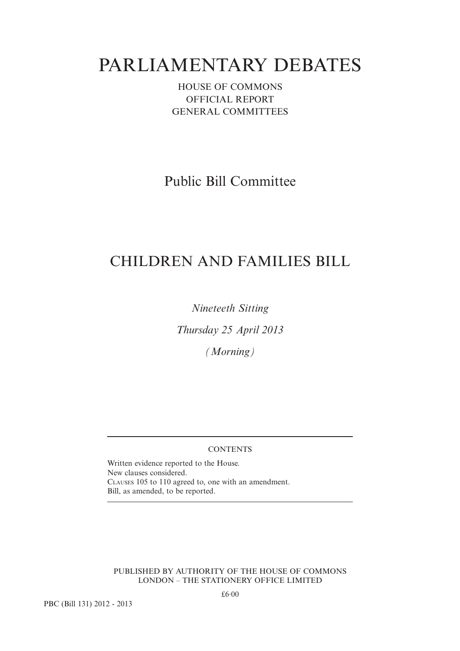# PARLIAMENTARY DEBATES

HOUSE OF COMMONS OFFICIAL REPORT GENERAL COMMITTEES

Public Bill Committee

# CHILDREN AND FAMILIES BILL

*Nineteeth Sitting*

*Thursday 25 April 2013*

*(Morning)*

# **CONTENTS**

Written evidence reported to the House. New clauses considered. CLAUSES 105 to 110 agreed to, one with an amendment. Bill, as amended, to be reported.

PUBLISHED BY AUTHORITY OF THE HOUSE OF COMMONS LONDON – THE STATIONERY OFFICE LIMITED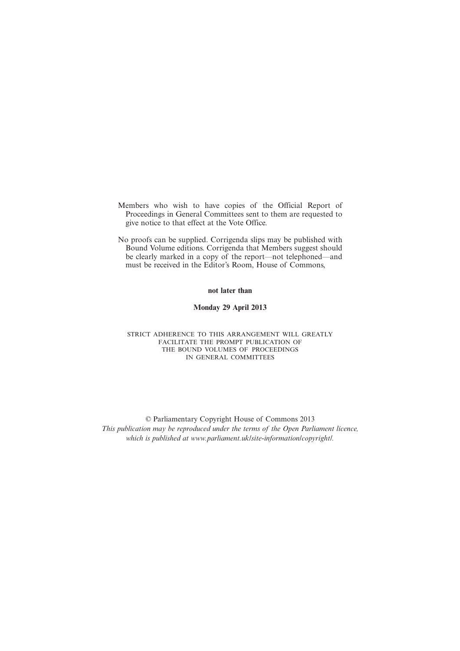- Members who wish to have copies of the Official Report of Proceedings in General Committees sent to them are requested to give notice to that effect at the Vote Office.
- No proofs can be supplied. Corrigenda slips may be published with Bound Volume editions. Corrigenda that Members suggest should be clearly marked in a copy of the report—not telephoned—and must be received in the Editor's Room, House of Commons,

#### **not later than**

#### **Monday 29 April 2013**

#### STRICT ADHERENCE TO THIS ARRANGEMENT WILL GREATLY FACILITATE THE PROMPT PUBLICATION OF THE BOUND VOLUMES OF PROCEEDINGS IN GENERAL COMMITTEES

© Parliamentary Copyright House of Commons 2013 *This publication may be reproduced under the terms of the Open Parliament licence, which is published at www.parliament.uk/site-information/copyright/.*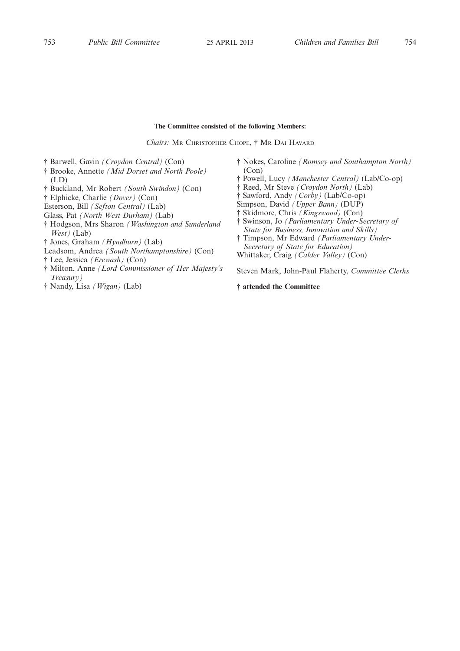#### **The Committee consisted of the following Members:**

Chairs: MR CHRISTOPHER CHOPE, <sup>†</sup> MR DAI HAVARD

- † Barwell, Gavin *(Croydon Central)* (Con)
- † Brooke, Annette *(Mid Dorset and North Poole)* (LD)
- † Buckland, Mr Robert *(South Swindon)* (Con)
- † Elphicke, Charlie *(Dover)* (Con)
- Esterson, Bill *(Sefton Central)* (Lab)
- Glass, Pat *(North West Durham)* (Lab)
- † Hodgson, Mrs Sharon *(Washington and Sunderland West)* (Lab)
- † Jones, Graham *(Hyndburn)* (Lab)
- Leadsom, Andrea *(South Northamptonshire)* (Con)
- † Lee, Jessica *(Erewash)* (Con)
- † Milton, Anne *(Lord Commissioner of Her Majesty's Treasury)*
- † Nandy, Lisa *(Wigan)* (Lab)
- † Nokes, Caroline *(Romsey and Southampton North)* (Con)
- † Powell, Lucy *(Manchester Central)* (Lab/Co-op)
- † Reed, Mr Steve *(Croydon North)* (Lab)
- † Sawford, Andy *(Corby)* (Lab/Co-op)
- Simpson, David *(Upper Bann)* (DUP)
- † Skidmore, Chris *(Kingswood)* (Con)
- † Swinson, Jo *(Parliamentary Under-Secretary of State for Business, Innovation and Skills)*
- † Timpson, Mr Edward *(Parliamentary Under-Secretary of State for Education)* Whittaker, Craig *(Calder Valley)* (Con)

Steven Mark, John-Paul Flaherty, *Committee Clerks*

# **† attended the Committee**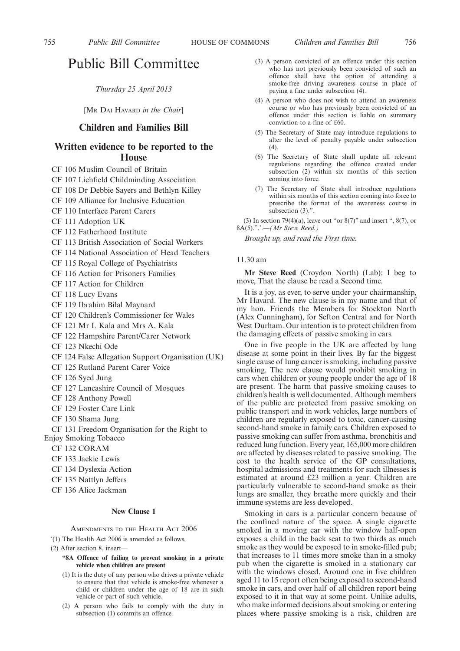# Public Bill Committee

*Thursday 25 April 2013*

[MR DAI HAVARD *in the Chair*]

# **Children and Families Bill**

# **Written evidence to be reported to the House**

- CF 106 Muslim Council of Britain
- CF 107 Lichfield Childminding Association
- CF 108 Dr Debbie Sayers and Bethlyn Killey
- CF 109 Alliance for Inclusive Education
- CF 110 Interface Parent Carers
- CF 111 Adoption UK
- CF 112 Fatherhood Institute
- CF 113 British Association of Social Workers
- CF 114 National Association of Head Teachers

CF 115 Royal College of Psychiatrists

- CF 116 Action for Prisoners Families
- CF 117 Action for Children
- CF 118 Lucy Evans
- CF 119 Ibrahim Bilal Maynard
- CF 120 Children's Commissioner for Wales
- CF 121 Mr I. Kala and Mrs A. Kala
- CF 122 Hampshire Parent/Carer Network
- CF 123 Nkechi Ode
- CF 124 False Allegation Support Organisation (UK)
- CF 125 Rutland Parent Carer Voice
- CF 126 Syed Jung
- CF 127 Lancashire Council of Mosques
- CF 128 Anthony Powell
- CF 129 Foster Care Link
- CF 130 Shama Jung
- CF 131 Freedom Organisation for the Right to

Enjoy Smoking Tobacco

- CF 132 CORAM
- CF 133 Jackie Lewis
- CF 134 Dyslexia Action
- CF 135 Nattlyn Jeffers
- CF 136 Alice Jackman

# **New Clause 1**

AMENDMENTS TO THE HEALTH ACT 2006

- '(1) The Health Act 2006 is amended as follows.
- (2) After section 8, insert—
	- **"8A Offence of failing to prevent smoking in a private vehicle when children are present**
	- (1) It is the duty of any person who drives a private vehicle to ensure that that vehicle is smoke-free whenever a child or children under the age of 18 are in such vehicle or part of such vehicle.
	- (2) A person who fails to comply with the duty in subsection (1) commits an offence.
- (3) A person convicted of an offence under this section who has not previously been convicted of such an offence shall have the option of attending a smoke-free driving awareness course in place of paying a fine under subsection (4).
- (4) A person who does not wish to attend an awareness course or who has previously been convicted of an offence under this section is liable on summary conviction to a fine of £60.
- (5) The Secretary of State may introduce regulations to alter the level of penalty payable under subsection (4).
- (6) The Secretary of State shall update all relevant regulations regarding the offence created under subsection (2) within six months of this section coming into force.
- (7) The Secretary of State shall introduce regulations within six months of this section coming into force to prescribe the format of the awareness course in subsection  $(3)$ .".

(3) In section 79(4)(a), leave out "or  $8(7)$ " and insert ",  $8(7)$ , or 8A(5).".'.—*(Mr Steve Reed.)*

*Brought up, and read the First time.*

#### 11.30 am

**Mr Steve Reed** (Croydon North) (Lab): I beg to move, That the clause be read a Second time.

It is a joy, as ever, to serve under your chairmanship, Mr Havard. The new clause is in my name and that of my hon. Friends the Members for Stockton North (Alex Cunningham), for Sefton Central and for North West Durham. Our intention is to protect children from the damaging effects of passive smoking in cars.

One in five people in the UK are affected by lung disease at some point in their lives. By far the biggest single cause of lung cancer is smoking, including passive smoking. The new clause would prohibit smoking in cars when children or young people under the age of 18 are present. The harm that passive smoking causes to children's health is well documented. Although members of the public are protected from passive smoking on public transport and in work vehicles, large numbers of children are regularly exposed to toxic, cancer-causing second-hand smoke in family cars. Children exposed to passive smoking can suffer from asthma, bronchitis and reduced lung function. Every year, 165,000 more children are affected by diseases related to passive smoking. The cost to the health service of the GP consultations, hospital admissions and treatments for such illnesses is estimated at around £23 million a year. Children are particularly vulnerable to second-hand smoke as their lungs are smaller, they breathe more quickly and their immune systems are less developed.

Smoking in cars is a particular concern because of the confined nature of the space. A single cigarette smoked in a moving car with the window half-open exposes a child in the back seat to two thirds as much smoke as they would be exposed to in smoke-filled pub; that increases to 11 times more smoke than in a smoky pub when the cigarette is smoked in a stationary car with the windows closed. Around one in five children aged 11 to 15 report often being exposed to second-hand smoke in cars, and over half of all children report being exposed to it in that way at some point. Unlike adults, who make informed decisions about smoking or entering places where passive smoking is a risk, children are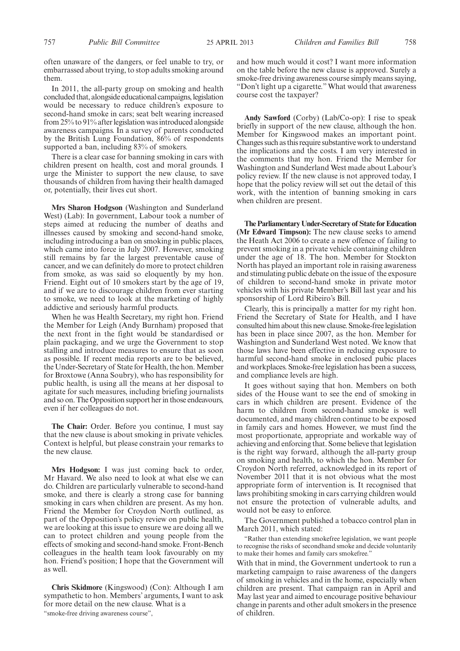often unaware of the dangers, or feel unable to try, or embarrassed about trying, to stop adults smoking around them.

In 2011, the all-party group on smoking and health concluded that, alongside educational campaigns, legislation would be necessary to reduce children's exposure to second-hand smoke in cars; seat belt wearing increased from 25% to 91% after legislation was introduced alongside awareness campaigns. In a survey of parents conducted by the British Lung Foundation, 86% of respondents supported a ban, including 83% of smokers.

There is a clear case for banning smoking in cars with children present on health, cost and moral grounds. I urge the Minister to support the new clause, to save thousands of children from having their health damaged or, potentially, their lives cut short.

**Mrs Sharon Hodgson** (Washington and Sunderland West) (Lab): In government, Labour took a number of steps aimed at reducing the number of deaths and illnesses caused by smoking and second-hand smoke, including introducing a ban on smoking in public places, which came into force in July 2007. However, smoking still remains by far the largest preventable cause of cancer, and we can definitely do more to protect children from smoke, as was said so eloquently by my hon. Friend. Eight out of 10 smokers start by the age of 19, and if we are to discourage children from ever starting to smoke, we need to look at the marketing of highly addictive and seriously harmful products.

When he was Health Secretary, my right hon. Friend the Member for Leigh (Andy Burnham) proposed that the next front in the fight would be standardised or plain packaging, and we urge the Government to stop stalling and introduce measures to ensure that as soon as possible. If recent media reports are to be believed, the Under-Secretary of State for Health, the hon. Member for Broxtowe (Anna Soubry), who has responsibility for public health, is using all the means at her disposal to agitate for such measures, including briefing journalists and so on. The Opposition support her in those endeavours, even if her colleagues do not.

**The Chair:** Order. Before you continue, I must say that the new clause is about smoking in private vehicles. Context is helpful, but please constrain your remarks to the new clause.

**Mrs Hodgson:** I was just coming back to order, Mr Havard. We also need to look at what else we can do. Children are particularly vulnerable to second-hand smoke, and there is clearly a strong case for banning smoking in cars when children are present. As my hon. Friend the Member for Croydon North outlined, as part of the Opposition's policy review on public health, we are looking at this issue to ensure we are doing all we can to protect children and young people from the effects of smoking and second-hand smoke. Front-Bench colleagues in the health team look favourably on my hon. Friend's position; I hope that the Government will as well.

**Chris Skidmore** (Kingswood) (Con): Although I am sympathetic to hon. Members' arguments, I want to ask for more detail on the new clause. What is a

"smoke-free driving awareness course",

and how much would it cost? I want more information on the table before the new clause is approved. Surely a smoke-free driving awareness course simply means saying, "Don't light up a cigarette."What would that awareness course cost the taxpayer?

**Andy Sawford** (Corby) (Lab/Co-op): I rise to speak briefly in support of the new clause, although the hon. Member for Kingswood makes an important point. Changes such as this require substantive work to understand the implications and the costs. I am very interested in the comments that my hon. Friend the Member for Washington and Sunderland West made about Labour's policy review. If the new clause is not approved today, I hope that the policy review will set out the detail of this work, with the intention of banning smoking in cars when children are present.

**The Parliamentary Under-Secretary of State for Education (Mr Edward Timpson):** The new clause seeks to amend the Heath Act 2006 to create a new offence of failing to prevent smoking in a private vehicle containing children under the age of 18. The hon. Member for Stockton North has played an important role in raising awareness and stimulating public debate on the issue of the exposure of children to second-hand smoke in private motor vehicles with his private Member's Bill last year and his sponsorship of Lord Ribeiro's Bill.

Clearly, this is principally a matter for my right hon. Friend the Secretary of State for Health, and I have consulted him about this new clause. Smoke-free legislation has been in place since 2007, as the hon. Member for Washington and Sunderland West noted. We know that those laws have been effective in reducing exposure to harmful second-hand smoke in enclosed pubic places and workplaces. Smoke-free legislation has been a success, and compliance levels are high.

It goes without saying that hon. Members on both sides of the House want to see the end of smoking in cars in which children are present. Evidence of the harm to children from second-hand smoke is well documented, and many children continue to be exposed in family cars and homes. However, we must find the most proportionate, appropriate and workable way of achieving and enforcing that. Some believe that legislation is the right way forward, although the all-party group on smoking and health, to which the hon. Member for Croydon North referred, acknowledged in its report of November 2011 that it is not obvious what the most appropriate form of intervention is. It recognised that laws prohibiting smoking in cars carrying children would not ensure the protection of vulnerable adults, and would not be easy to enforce.

The Government published a tobacco control plan in March 2011, which stated:

"Rather than extending smokefree legislation, we want people to recognise the risks of secondhand smoke and decide voluntarily to make their homes and family cars smokefree."

With that in mind, the Government undertook to run a marketing campaign to raise awareness of the dangers of smoking in vehicles and in the home, especially when children are present. That campaign ran in April and May last year and aimed to encourage positive behaviour change in parents and other adult smokers in the presence of children.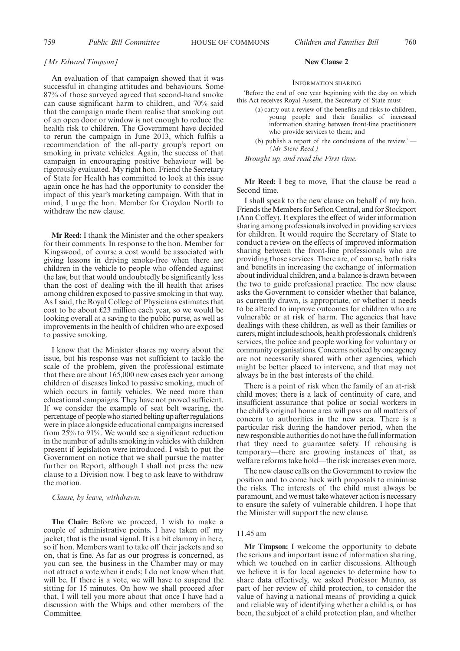#### *[Mr Edward Timpson]*

An evaluation of that campaign showed that it was successful in changing attitudes and behaviours. Some 87% of those surveyed agreed that second-hand smoke can cause significant harm to children, and 70% said that the campaign made them realise that smoking out of an open door or window is not enough to reduce the health risk to children. The Government have decided to rerun the campaign in June 2013, which fulfils a recommendation of the all-party group's report on smoking in private vehicles. Again, the success of that campaign in encouraging positive behaviour will be rigorously evaluated. My right hon. Friend the Secretary of State for Health has committed to look at this issue again once he has had the opportunity to consider the impact of this year's marketing campaign. With that in mind, I urge the hon. Member for Croydon North to withdraw the new clause.

**Mr Reed:** I thank the Minister and the other speakers for their comments. In response to the hon. Member for Kingswood, of course a cost would be associated with giving lessons in driving smoke-free when there are children in the vehicle to people who offended against the law, but that would undoubtedly be significantly less than the cost of dealing with the ill health that arises among children exposed to passive smoking in that way. As I said, the Royal College of Physicians estimates that cost to be about £23 million each year, so we would be looking overall at a saving to the public purse, as well as improvements in the health of children who are exposed to passive smoking.

I know that the Minister shares my worry about the issue, but his response was not sufficient to tackle the scale of the problem, given the professional estimate that there are about 165,000 new cases each year among children of diseases linked to passive smoking, much of which occurs in family vehicles. We need more than educational campaigns. They have not proved sufficient. If we consider the example of seat belt wearing, the percentage of people who started belting up after regulations were in place alongside educational campaigns increased from 25% to 91%. We would see a significant reduction in the number of adults smoking in vehicles with children present if legislation were introduced. I wish to put the Government on notice that we shall pursue the matter further on Report, although I shall not press the new clause to a Division now. I beg to ask leave to withdraw the motion.

#### *Clause, by leave, withdrawn.*

**The Chair:** Before we proceed, I wish to make a couple of administrative points. I have taken off my jacket; that is the usual signal. It is a bit clammy in here, so if hon. Members want to take off their jackets and so on, that is fine. As far as our progress is concerned, as you can see, the business in the Chamber may or may not attract a vote when it ends; I do not know when that will be. If there is a vote, we will have to suspend the sitting for 15 minutes. On how we shall proceed after that, I will tell you more about that once I have had a discussion with the Whips and other members of the Committee.

#### **New Clause 2**

INFORMATION SHARING

'Before the end of one year beginning with the day on which this Act receives Royal Assent, the Secretary of State must—

- (a) carry out a review of the benefits and risks to children, young people and their families of increased information sharing between front-line practitioners who provide services to them; and
- (b) publish a report of the conclusions of the review.' $-$ *(Mr Steve Reed.)*

*Brought up, and read the First time.*

**Mr Reed:** I beg to move, That the clause be read a Second time.

I shall speak to the new clause on behalf of my hon. Friends the Members for Sefton Central, and for Stockport (Ann Coffey). It explores the effect of wider information sharing among professionals involved in providing services for children. It would require the Secretary of State to conduct a review on the effects of improved information sharing between the front-line professionals who are providing those services. There are, of course, both risks and benefits in increasing the exchange of information about individual children, and a balance is drawn between the two to guide professional practice. The new clause asks the Government to consider whether that balance, as currently drawn, is appropriate, or whether it needs to be altered to improve outcomes for children who are vulnerable or at risk of harm. The agencies that have dealings with these children, as well as their families or carers, might include schools, health professionals, children's services, the police and people working for voluntary or community organisations. Concerns noticed by one agency are not necessarily shared with other agencies, which might be better placed to intervene, and that may not always be in the best interests of the child.

There is a point of risk when the family of an at-risk child moves; there is a lack of continuity of care, and insufficient assurance that police or social workers in the child's original home area will pass on all matters of concern to authorities in the new area. There is a particular risk during the handover period, when the new responsible authorities do not have the full information that they need to guarantee safety. If rehousing is temporary—there are growing instances of that, as welfare reforms take hold—the risk increases even more.

The new clause calls on the Government to review the position and to come back with proposals to minimise the risks. The interests of the child must always be paramount, and we must take whatever action is necessary to ensure the safety of vulnerable children. I hope that the Minister will support the new clause.

#### 11.45 am

**Mr Timpson:** I welcome the opportunity to debate the serious and important issue of information sharing, which we touched on in earlier discussions. Although we believe it is for local agencies to determine how to share data effectively, we asked Professor Munro, as part of her review of child protection, to consider the value of having a national means of providing a quick and reliable way of identifying whether a child is, or has been, the subject of a child protection plan, and whether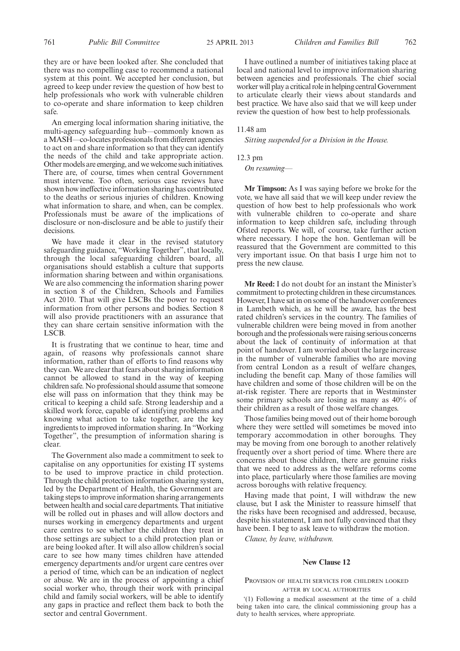they are or have been looked after. She concluded that there was no compelling case to recommend a national system at this point. We accepted her conclusion, but agreed to keep under review the question of how best to help professionals who work with vulnerable children to co-operate and share information to keep children safe.

An emerging local information sharing initiative, the multi-agency safeguarding hub—commonly known as aMASH—co-locates professionals from different agencies to act on and share information so that they can identify the needs of the child and take appropriate action. Other models are emerging, and we welcome such initiatives. There are, of course, times when central Government must intervene. Too often, serious case reviews have shown how ineffective information sharing has contributed to the deaths or serious injuries of children. Knowing what information to share, and when, can be complex. Professionals must be aware of the implications of disclosure or non-disclosure and be able to justify their decisions.

We have made it clear in the revised statutory safeguarding guidance, "Working Together", that locally, through the local safeguarding children board, all organisations should establish a culture that supports information sharing between and within organisations. We are also commencing the information sharing power in section 8 of the Children, Schools and Families Act 2010. That will give LSCBs the power to request information from other persons and bodies. Section 8 will also provide practitioners with an assurance that they can share certain sensitive information with the LSCB.

It is frustrating that we continue to hear, time and again, of reasons why professionals cannot share information, rather than of efforts to find reasons why they can.We are clear that fears about sharing information cannot be allowed to stand in the way of keeping children safe. No professional should assume that someone else will pass on information that they think may be critical to keeping a child safe. Strong leadership and a skilled work force, capable of identifying problems and knowing what action to take together, are the key ingredients to improved information sharing. In "Working Together", the presumption of information sharing is clear.

The Government also made a commitment to seek to capitalise on any opportunities for existing IT systems to be used to improve practice in child protection. Through the child protection information sharing system, led by the Department of Health, the Government are taking steps to improve information sharing arrangements between health and social care departments. That initiative will be rolled out in phases and will allow doctors and nurses working in emergency departments and urgent care centres to see whether the children they treat in those settings are subject to a child protection plan or are being looked after. It will also allow children's social care to see how many times children have attended emergency departments and/or urgent care centres over a period of time, which can be an indication of neglect or abuse. We are in the process of appointing a chief social worker who, through their work with principal child and family social workers, will be able to identify any gaps in practice and reflect them back to both the sector and central Government.

I have outlined a number of initiatives taking place at local and national level to improve information sharing between agencies and professionals. The chief social worker will play a critical role in helping central Government to articulate clearly their views about standards and best practice. We have also said that we will keep under review the question of how best to help professionals.

#### 11.48 am

*Sitting suspended for a Division in the House.*

12.3 pm

*On resuming—*

**Mr Timpson:** As I was saying before we broke for the vote, we have all said that we will keep under review the question of how best to help professionals who work with vulnerable children to co-operate and share information to keep children safe, including through Ofsted reports. We will, of course, take further action where necessary. I hope the hon. Gentleman will be reassured that the Government are committed to this very important issue. On that basis I urge him not to press the new clause.

**Mr Reed:** I do not doubt for an instant the Minister's commitment to protecting children in these circumstances. However, I have sat in on some of the handover conferences in Lambeth which, as he will be aware, has the best rated children's services in the country. The families of vulnerable children were being moved in from another borough and the professionals were raising serious concerns about the lack of continuity of information at that point of handover. I am worried about the large increase in the number of vulnerable families who are moving from central London as a result of welfare changes, including the benefit cap. Many of those families will have children and some of those children will be on the at-risk register. There are reports that in Westminster some primary schools are losing as many as 40% of their children as a result of those welfare changes.

Those families being moved out of their home borough where they were settled will sometimes be moved into temporary accommodation in other boroughs. They may be moving from one borough to another relatively frequently over a short period of time. Where there are concerns about those children, there are genuine risks that we need to address as the welfare reforms come into place, particularly where those families are moving across boroughs with relative frequency.

Having made that point, I will withdraw the new clause, but I ask the Minister to reassure himself that the risks have been recognised and addressed, because, despite his statement, I am not fully convinced that they have been. I beg to ask leave to withdraw the motion.

*Clause, by leave, withdrawn.*

# **New Clause 12**

#### PROVISION OF HEALTH SERVICES FOR CHILDREN LOOKED AFTER BY LOCAL AUTHORITIES

'(1) Following a medical assessment at the time of a child being taken into care, the clinical commissioning group has a duty to health services, where appropriate.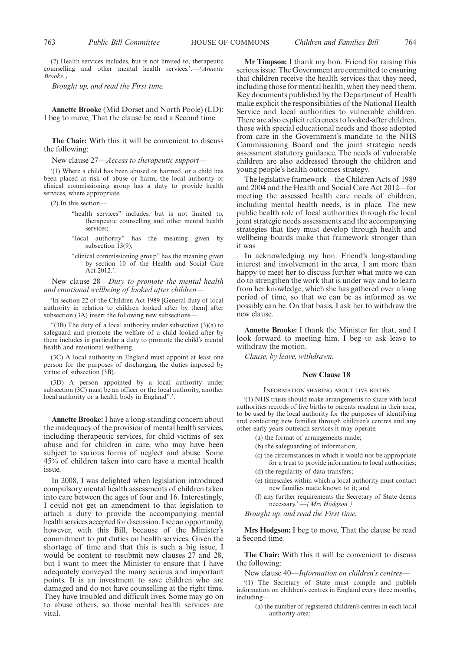(2) Health services includes, but is not limited to, therapeutic counselling and other mental health services.'.—*(Annette Brooke.)*

*Brought up, and read the First time.*

**Annette Brooke** (Mid Dorset and North Poole) (LD): I beg to move, That the clause be read a Second time.

**The Chair:** With this it will be convenient to discuss the following:

New clause 27—*Access to therapeutic support—*

'(1) Where a child has been abused or harmed, or a child has been placed at risk of abuse or harm, the local authority or clinical commissioning group has a duty to provide health services, where appropriate.

- (2) In this section—
	- "health services" includes, but is not limited to, therapeutic counselling and other mental health services:
	- "local authority" has the meaning given by subsection 13(9);
	- "clinical commissioning group" has the meaning given by section 10 of the Health and Social Care Act 2012.'.

New clause 28—*Duty to promote the mental health and emotional wellbeing of looked after children—*

'In section 22 of the Children Act 1989 [General duty of local authority in relation to children looked after by them] after subsection (3A) insert the following new subsections—

 $(3B)$  The duty of a local authority under subsection  $(3)(a)$  to safeguard and promote the welfare of a child looked after by them includes in particular a duty to promote the child's mental health and emotional wellbeing.

(3C) A local authority in England must appoint at least one person for the purposes of discharging the duties imposed by virtue of subsection (3B).

(3D) A person appointed by a local authority under subsection (3C) must be an officer or the local authority, another local authority or a health body in England".'.

**Annette Brooke:** I have a long-standing concern about the inadequacy of the provision of mental health services, including therapeutic services, for child victims of sex abuse and for children in care, who may have been subject to various forms of neglect and abuse. Some 45% of children taken into care have a mental health issue.

In 2008, I was delighted when legislation introduced compulsory mental health assessments of children taken into care between the ages of four and 16. Interestingly, I could not get an amendment to that legislation to attach a duty to provide the accompanying mental health services accepted for discussion. I see an opportunity, however, with this Bill, because of the Minister's commitment to put duties on health services. Given the shortage of time and that this is such a big issue, I would be content to resubmit new clauses 27 and 28, but I want to meet the Minister to ensure that I have adequately conveyed the many serious and important points. It is an investment to save children who are damaged and do not have counselling at the right time. They have troubled and difficult lives. Some may go on to abuse others, so those mental health services are vital.

**Mr Timpson:** I thank my hon. Friend for raising this serious issue. The Government are committed to ensuring that children receive the health services that they need, including those for mental health, when they need them. Key documents published by the Department of Health make explicit the responsibilities of the National Health Service and local authorities to vulnerable children. There are also explicit references to looked-after children, those with special educational needs and those adopted from care in the Government's mandate to the NHS Commissioning Board and the joint strategic needs assessment statutory guidance. The needs of vulnerable children are also addressed through the children and young people's health outcomes strategy.

The legislative framework—the Children Acts of 1989 and 2004 and the Health and Social Care Act 2012—for meeting the assessed health care needs of children, including mental health needs, is in place. The new public health role of local authorities through the local joint strategic needs assessments and the accompanying strategies that they must develop through health and wellbeing boards make that framework stronger than it was.

In acknowledging my hon. Friend's long-standing interest and involvement in the area, I am more than happy to meet her to discuss further what more we can do to strengthen the work that is under way and to learn from her knowledge, which she has gathered over a long period of time, so that we can be as informed as we possibly can be. On that basis, I ask her to withdraw the new clause.

**Annette Brooke:** I thank the Minister for that, and I look forward to meeting him. I beg to ask leave to withdraw the motion.

*Clause, by leave, withdrawn.*

#### **New Clause 18**

#### INFORMATION SHARING ABOUT LIVE BIRTHS

'(1) NHS trusts should make arrangements to share with local authorities records of live births to parents resident in their area, to be used by the local authority for the purposes of identifying and contacting new families through children's centres and any other early years outreach services it may operate.

- (a) the format of arrangements made;
- (b) the safeguarding of information;
- (c) the circumstances in which it would not be appropriate for a trust to provide information to local authorities;
- (d) the regularity of data transfers;
- (e) timescales within which a local authority must contact new families made known to it; and
- (f) any further requirements the Secretary of State deems necessary.'.—*(Mrs Hodgson.)*

*Brought up, and read the First time.*

**Mrs Hodgson:** I beg to move, That the clause be read a Second time.

**The Chair:** With this it will be convenient to discuss the following:

New clause 40—*Information on children's centres—*

'(1) The Secretary of State must compile and publish information on children's centres in England every three months, including—

(a) the number of registered children's centres in each local authority area;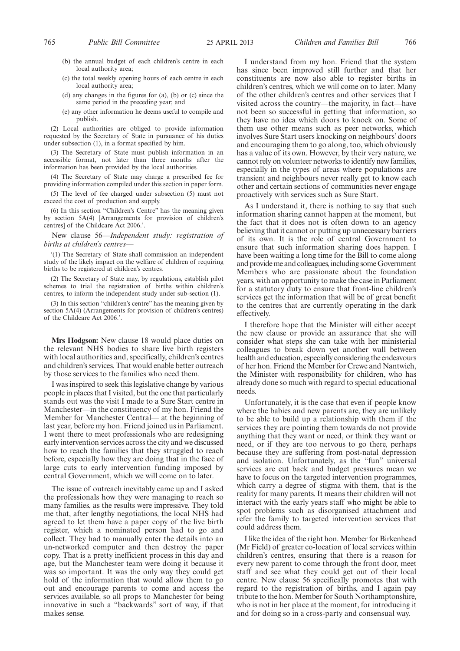- (b) the annual budget of each children's centre in each local authority area;
- (c) the total weekly opening hours of each centre in each local authority area;
- (d) any changes in the figures for (a), (b) or (c) since the same period in the preceding year; and
- (e) any other information he deems useful to compile and publish.

(2) Local authorities are obliged to provide information requested by the Secretary of State in pursuance of his duties under subsection (1), in a format specified by him.

(3) The Secretary of State must publish information in an accessible format, not later than three months after the information has been provided by the local authorities.

(4) The Secretary of State may charge a prescribed fee for providing information compiled under this section in paper form.

(5) The level of fee charged under subsection (5) must not exceed the cost of production and supply.

(6) In this section "Children's Centre" has the meaning given by section 5A(4) [Arrangements for provision of children's centres] of the Childcare Act 2006.'.

New clause 56—*Independent study: registration of births at children's centres—*

'(1) The Secretary of State shall commission an independent study of the likely impact on the welfare of children of requiring births to be registered at children's centres.

(2) The Secretary of State may, by regulations, establish pilot schemes to trial the registration of births within children's centres, to inform the independent study under sub-section (1).

(3) In this section "children's centre" has the meaning given by section 5A(4) (Arrangements for provision of children's centres) of the Childcare Act 2006.'.

**Mrs Hodgson:** New clause 18 would place duties on the relevant NHS bodies to share live birth registers with local authorities and, specifically, children's centres and children's services. That would enable better outreach by those services to the families who need them.

I was inspired to seek this legislative change by various people in places that I visited, but the one that particularly stands out was the visit I made to a Sure Start centre in Manchester—in the constituency of my hon. Friend the Member for Manchester Central— at the beginning of last year, before my hon. Friend joined us in Parliament. I went there to meet professionals who are redesigning early intervention services across the city and we discussed how to reach the families that they struggled to reach before, especially how they are doing that in the face of large cuts to early intervention funding imposed by central Government, which we will come on to later.

The issue of outreach inevitably came up and I asked the professionals how they were managing to reach so many families, as the results were impressive. They told me that, after lengthy negotiations, the local NHS had agreed to let them have a paper copy of the live birth register, which a nominated person had to go and collect. They had to manually enter the details into an un-networked computer and then destroy the paper copy. That is a pretty inefficient process in this day and age, but the Manchester team were doing it because it was so important. It was the only way they could get hold of the information that would allow them to go out and encourage parents to come and access the services available, so all props to Manchester for being innovative in such a "backwards" sort of way, if that makes sense.

I understand from my hon. Friend that the system has since been improved still further and that her constituents are now also able to register births in children's centres, which we will come on to later. Many of the other children's centres and other services that I visited across the country—the majority, in fact—have not been so successful in getting that information, so they have no idea which doors to knock on. Some of them use other means such as peer networks, which involves Sure Start users knocking on neighbours' doors and encouraging them to go along, too, which obviously has a value of its own. However, by their very nature, we cannot rely on volunteer networks to identify new families, especially in the types of areas where populations are transient and neighbours never really get to know each other and certain sections of communities never engage proactively with services such as Sure Start.

As I understand it, there is nothing to say that such information sharing cannot happen at the moment, but the fact that it does not is often down to an agency believing that it cannot or putting up unnecessary barriers of its own. It is the role of central Government to ensure that such information sharing does happen. I have been waiting a long time for the Bill to come along and provide me and colleagues, including some Government Members who are passionate about the foundation years, with an opportunity to make the case in Parliament for a statutory duty to ensure that front-line children's services get the information that will be of great benefit to the centres that are currently operating in the dark effectively.

I therefore hope that the Minister will either accept the new clause or provide an assurance that she will consider what steps she can take with her ministerial colleagues to break down yet another wall between health and education, especially considering the endeavours of her hon. Friend the Member for Crewe and Nantwich, the Minister with responsibility for children, who has already done so much with regard to special educational needs.

Unfortunately, it is the case that even if people know where the babies and new parents are, they are unlikely to be able to build up a relationship with them if the services they are pointing them towards do not provide anything that they want or need, or think they want or need, or if they are too nervous to go there, perhaps because they are suffering from post-natal depression and isolation. Unfortunately, as the "fun" universal services are cut back and budget pressures mean we have to focus on the targeted intervention programmes, which carry a degree of stigma with them, that is the reality for many parents. It means their children will not interact with the early years staff who might be able to spot problems such as disorganised attachment and refer the family to targeted intervention services that could address them.

I like the idea of the right hon. Member for Birkenhead (Mr Field) of greater co-location of local services within children's centres, ensuring that there is a reason for every new parent to come through the front door, meet staff and see what they could get out of their local centre. New clause 56 specifically promotes that with regard to the registration of births, and I again pay tribute to the hon. Member for South Northamptonshire, who is not in her place at the moment, for introducing it and for doing so in a cross-party and consensual way.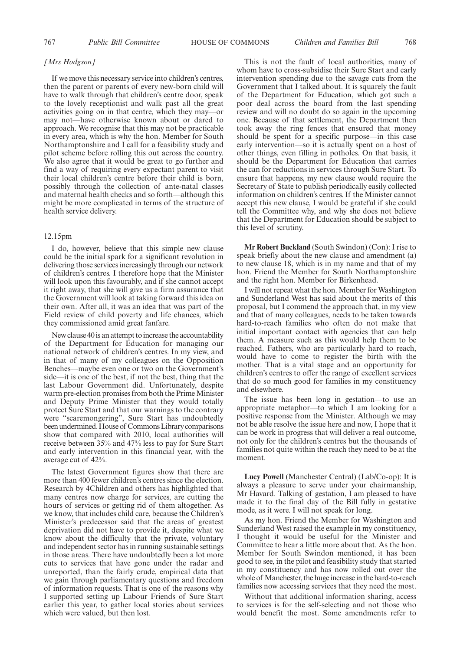#### *[Mrs Hodgson]*

If we move this necessary service into children's centres, then the parent or parents of every new-born child will have to walk through that children's centre door, speak to the lovely receptionist and walk past all the great activities going on in that centre, which they may—or may not—have otherwise known about or dared to approach. We recognise that this may not be practicable in every area, which is why the hon. Member for South Northamptonshire and I call for a feasibility study and pilot scheme before rolling this out across the country. We also agree that it would be great to go further and find a way of requiring every expectant parent to visit their local children's centre before their child is born, possibly through the collection of ante-natal classes and maternal health checks and so forth—although this might be more complicated in terms of the structure of health service delivery.

#### 12.15pm

I do, however, believe that this simple new clause could be the initial spark for a significant revolution in delivering those services increasingly through our network of children's centres. I therefore hope that the Minister will look upon this favourably, and if she cannot accept it right away, that she will give us a firm assurance that the Government will look at taking forward this idea on their own. After all, it was an idea that was part of the Field review of child poverty and life chances, which they commissioned amid great fanfare.

New clause 40 is an attempt to increase the accountability of the Department for Education for managing our national network of children's centres. In my view, and in that of many of my colleagues on the Opposition Benches—maybe even one or two on the Government's side—it is one of the best, if not the best, thing that the last Labour Government did. Unfortunately, despite warm pre-election promises from both the Prime Minister and Deputy Prime Minister that they would totally protect Sure Start and that our warnings to the contrary were "scaremongering", Sure Start has undoubtedly been undermined. House of Commons Library comparisons show that compared with 2010, local authorities will receive between 35% and 47% less to pay for Sure Start and early intervention in this financial year, with the average cut of 42%.

The latest Government figures show that there are more than 400 fewer children's centres since the election. Research by 4Children and others has highlighted that many centres now charge for services, are cutting the hours of services or getting rid of them altogether. As we know, that includes child care, because the Children's Minister's predecessor said that the areas of greatest deprivation did not have to provide it, despite what we know about the difficulty that the private, voluntary and independent sector has in running sustainable settings in those areas. There have undoubtedly been a lot more cuts to services that have gone under the radar and unreported, than the fairly crude, empirical data that we gain through parliamentary questions and freedom of information requests. That is one of the reasons why I supported setting up Labour Friends of Sure Start earlier this year, to gather local stories about services which were valued, but then lost.

This is not the fault of local authorities, many of whom have to cross-subsidise their Sure Start and early intervention spending due to the savage cuts from the Government that I talked about. It is squarely the fault of the Department for Education, which got such a poor deal across the board from the last spending review and will no doubt do so again in the upcoming one. Because of that settlement, the Department then took away the ring fences that ensured that money should be spent for a specific purpose—in this case early intervention—so it is actually spent on a host of other things, even filling in potholes. On that basis, it should be the Department for Education that carries the can for reductions in services through Sure Start. To ensure that happens, my new clause would require the Secretary of State to publish periodically easily collected information on children's centres. If the Minister cannot accept this new clause, I would be grateful if she could tell the Committee why, and why she does not believe that the Department for Education should be subject to this level of scrutiny.

**Mr Robert Buckland** (South Swindon) (Con): I rise to speak briefly about the new clause and amendment (a) to new clause 18, which is in my name and that of my hon. Friend the Member for South Northamptonshire and the right hon. Member for Birkenhead.

I will not repeat what the hon. Member for Washington and Sunderland West has said about the merits of this proposal, but I commend the approach that, in my view and that of many colleagues, needs to be taken towards hard-to-reach families who often do not make that initial important contact with agencies that can help them. A measure such as this would help them to be reached. Fathers, who are particularly hard to reach, would have to come to register the birth with the mother. That is a vital stage and an opportunity for children's centres to offer the range of excellent services that do so much good for families in my constituency and elsewhere.

The issue has been long in gestation—to use an appropriate metaphor—to which I am looking for a positive response from the Minister. Although we may not be able resolve the issue here and now, I hope that it can be work in progress that will deliver a real outcome, not only for the children's centres but the thousands of families not quite within the reach they need to be at the moment.

**Lucy Powell** (Manchester Central) (Lab/Co-op): It is always a pleasure to serve under your chairmanship, Mr Havard. Talking of gestation, I am pleased to have made it to the final day of the Bill fully in gestative mode, as it were. I will not speak for long.

As my hon. Friend the Member for Washington and Sunderland West raised the example in my constituency, I thought it would be useful for the Minister and Committee to hear a little more about that. As the hon. Member for South Swindon mentioned, it has been good to see, in the pilot and feasibility study that started in my constituency and has now rolled out over the whole of Manchester, the huge increase in the hard-to-reach families now accessing services that they need the most.

Without that additional information sharing, access to services is for the self-selecting and not those who would benefit the most. Some amendments refer to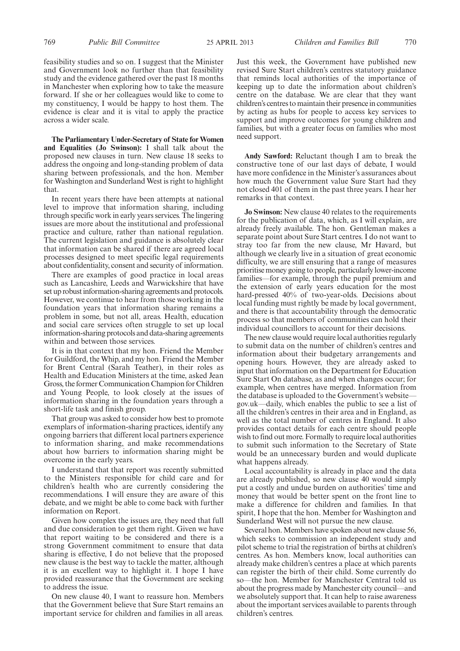feasibility studies and so on. I suggest that the Minister and Government look no further than that feasibility study and the evidence gathered over the past 18 months in Manchester when exploring how to take the measure forward. If she or her colleagues would like to come to my constituency, I would be happy to host them. The evidence is clear and it is vital to apply the practice across a wider scale.

**The Parliamentary Under-Secretary of State for Women and Equalities (Jo Swinson):** I shall talk about the proposed new clauses in turn. New clause 18 seeks to address the ongoing and long-standing problem of data sharing between professionals, and the hon. Member for Washington and Sunderland West is right to highlight that.

In recent years there have been attempts at national level to improve that information sharing, including through specific work in early years services. The lingering issues are more about the institutional and professional practice and culture, rather than national regulation. The current legislation and guidance is absolutely clear that information can be shared if there are agreed local processes designed to meet specific legal requirements about confidentiality, consent and security of information.

There are examples of good practice in local areas such as Lancashire, Leeds and Warwickshire that have set up robust information-sharing agreements and protocols. However, we continue to hear from those working in the foundation years that information sharing remains a problem in some, but not all, areas. Health, education and social care services often struggle to set up local information-sharing protocols and data-sharing agreements within and between those services.

It is in that context that my hon. Friend the Member for Guildford, the Whip, and my hon. Friend the Member for Brent Central (Sarah Teather), in their roles as Health and Education Ministers at the time, asked Jean Gross, the former Communication Champion for Children and Young People, to look closely at the issues of information sharing in the foundation years through a short-life task and finish group.

That group was asked to consider how best to promote exemplars of information-sharing practices, identify any ongoing barriers that different local partners experience to information sharing, and make recommendations about how barriers to information sharing might be overcome in the early years.

I understand that that report was recently submitted to the Ministers responsible for child care and for children's health who are currently considering the recommendations. I will ensure they are aware of this debate, and we might be able to come back with further information on Report.

Given how complex the issues are, they need that full and due consideration to get them right. Given we have that report waiting to be considered and there is a strong Government commitment to ensure that data sharing is effective, I do not believe that the proposed new clause is the best way to tackle the matter, although it is an excellent way to highlight it. I hope I have provided reassurance that the Government are seeking to address the issue.

On new clause 40, I want to reassure hon. Members that the Government believe that Sure Start remains an important service for children and families in all areas.

Just this week, the Government have published new revised Sure Start children's centres statutory guidance that reminds local authorities of the importance of keeping up to date the information about children's centre on the database. We are clear that they want children's centres to maintain their presence in communities by acting as hubs for people to access key services to support and improve outcomes for young children and families, but with a greater focus on families who most need support.

**Andy Sawford:** Reluctant though I am to break the constructive tone of our last days of debate, I would have more confidence in the Minister's assurances about how much the Government value Sure Start had they not closed 401 of them in the past three years. I hear her remarks in that context.

**Jo Swinson:** New clause 40 relates to the requirements for the publication of data, which, as I will explain, are already freely available. The hon. Gentleman makes a separate point about Sure Start centres. I do not want to stray too far from the new clause, Mr Havard, but although we clearly live in a situation of great economic difficulty, we are still ensuring that a range of measures prioritise money going to people, particularly lower-income families—for example, through the pupil premium and the extension of early years education for the most hard-pressed 40% of two-year-olds. Decisions about local funding must rightly be made by local government, and there is that accountability through the democratic process so that members of communities can hold their individual councillors to account for their decisions.

The new clause would require local authorities regularly to submit data on the number of children's centres and information about their budgetary arrangements and opening hours. However, they are already asked to input that information on the Department for Education Sure Start On database, as and when changes occur; for example, when centres have merged. Information from the database is uploaded to the Government's website gov.uk—daily, which enables the public to see a list of all the children's centres in their area and in England, as well as the total number of centres in England. It also provides contact details for each centre should people wish to find out more. Formally to require local authorities to submit such information to the Secretary of State would be an unnecessary burden and would duplicate what happens already.

Local accountability is already in place and the data are already published, so new clause 40 would simply put a costly and undue burden on authorities' time and money that would be better spent on the front line to make a difference for children and families. In that spirit, I hope that the hon. Member for Washington and Sunderland West will not pursue the new clause.

Several hon. Members have spoken about new clause 56, which seeks to commission an independent study and pilot scheme to trial the registration of births at children's centres. As hon. Members know, local authorities can already make children's centres a place at which parents can register the birth of their child. Some currently do so—the hon. Member for Manchester Central told us about the progress made byManchester city council—and we absolutely support that. It can help to raise awareness about the important services available to parents through children's centres.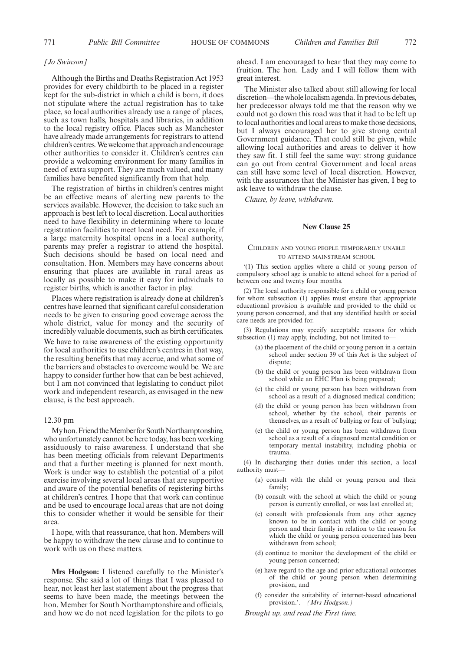#### *[Jo Swinson]*

Although the Births and Deaths Registration Act 1953 provides for every childbirth to be placed in a register kept for the sub-district in which a child is born, it does not stipulate where the actual registration has to take place, so local authorities already use a range of places, such as town halls, hospitals and libraries, in addition to the local registry office. Places such as Manchester have already made arrangements for registrars to attend children's centres.We welcome that approach and encourage other authorities to consider it. Children's centres can provide a welcoming environment for many families in need of extra support. They are much valued, and many families have benefited significantly from that help.

The registration of births in children's centres might be an effective means of alerting new parents to the services available. However, the decision to take such an approach is best left to local discretion. Local authorities need to have flexibility in determining where to locate registration facilities to meet local need. For example, if a large maternity hospital opens in a local authority, parents may prefer a registrar to attend the hospital. Such decisions should be based on local need and consultation. Hon. Members may have concerns about ensuring that places are available in rural areas as locally as possible to make it easy for individuals to register births, which is another factor in play.

Places where registration is already done at children's centres have learned that significant careful consideration needs to be given to ensuring good coverage across the whole district, value for money and the security of incredibly valuable documents, such as birth certificates.

We have to raise awareness of the existing opportunity for local authorities to use children's centres in that way, the resulting benefits that may accrue, and what some of the barriers and obstacles to overcome would be. We are happy to consider further how that can be best achieved, but I am not convinced that legislating to conduct pilot work and independent research, as envisaged in the new clause, is the best approach.

#### 12.30 pm

My hon. Friend the Member for South Northamptonshire, who unfortunately cannot be here today, has been working assiduously to raise awareness. I understand that she has been meeting officials from relevant Departments and that a further meeting is planned for next month. Work is under way to establish the potential of a pilot exercise involving several local areas that are supportive and aware of the potential benefits of registering births at children's centres. I hope that that work can continue and be used to encourage local areas that are not doing this to consider whether it would be sensible for their area.

I hope, with that reassurance, that hon. Members will be happy to withdraw the new clause and to continue to work with us on these matters.

**Mrs Hodgson:** I listened carefully to the Minister's response. She said a lot of things that I was pleased to hear, not least her last statement about the progress that seems to have been made, the meetings between the hon. Member for South Northamptonshire and officials, and how we do not need legislation for the pilots to go ahead. I am encouraged to hear that they may come to fruition. The hon. Lady and I will follow them with great interest.

The Minister also talked about still allowing for local discretion—the whole localism agenda. In previous debates, her predecessor always told me that the reason why we could not go down this road was that it had to be left up to local authorities and local areas to make those decisions, but I always encouraged her to give strong central Government guidance. That could still be given, while allowing local authorities and areas to deliver it how they saw fit. I still feel the same way: strong guidance can go out from central Government and local areas can still have some level of local discretion. However, with the assurances that the Minister has given, I beg to ask leave to withdraw the clause.

*Clause, by leave, withdrawn.*

#### **New Clause 25**

#### CHILDREN AND YOUNG PEOPLE TEMPORARILY UNABLE TO ATTEND MAINSTREAM SCHOOL

'(1) This section applies where a child or young person of compulsory school age is unable to attend school for a period of between one and twenty four months.

(2) The local authority responsible for a child or young person for whom subsection (1) applies must ensure that appropriate educational provision is available and provided to the child or young person concerned, and that any identified health or social care needs are provided for.

(3) Regulations may specify acceptable reasons for which subsection (1) may apply, including, but not limited to—

- (a) the placement of the child or young person in a certain school under section 39 of this Act is the subject of dispute;
- (b) the child or young person has been withdrawn from school while an EHC Plan is being prepared;
- (c) the child or young person has been withdrawn from school as a result of a diagnosed medical condition;
- (d) the child or young person has been withdrawn from school, whether by the school, their parents or themselves, as a result of bullying or fear of bullying;
- (e) the child or young person has been withdrawn from school as a result of a diagnosed mental condition or temporary mental instability, including phobia or trauma.

(4) In discharging their duties under this section, a local authority must—

- (a) consult with the child or young person and their family;
- (b) consult with the school at which the child or young person is currently enrolled, or was last enrolled at;
- (c) consult with professionals from any other agency known to be in contact with the child or young person and their family in relation to the reason for which the child or young person concerned has been withdrawn from school;
- (d) continue to monitor the development of the child or young person concerned;
- (e) have regard to the age and prior educational outcomes of the child or young person when determining provision, and
- (f) consider the suitability of internet-based educational provision.'.—*(Mrs Hodgson.)*

*Brought up, and read the First time.*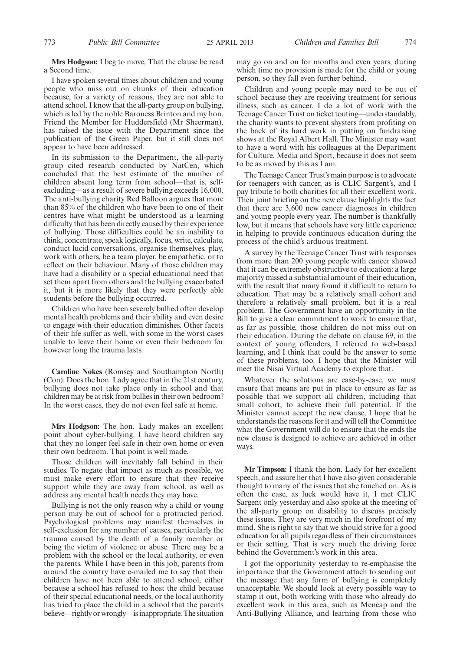I have spoken several times about children and young people who miss out on chunks of their education because, for a variety of reasons, they are not able to attend school. I know that the all-party group on bullying, which is led by the noble Baroness Brinton and my hon. Friend the Member for Huddersfield (Mr Sheerman), has raised the issue with the Department since the publication of the Green Paper, but it still does not appear to have been addressed.

In its submission to the Department, the all-party group cited research conducted by NatCen, which concluded that the best estimate of the number of children absent long term from school—that is, selfexcluding—as a result of severe bullying exceeds 16,000. The anti-bullying charity Red Balloon argues that more than 85% of the children who have been to one of their centres have what might be understood as a learning difficulty that has been directly caused by their experience of bullying. Those difficulties could be an inability to think, concentrate, speak logically, focus, write, calculate, conduct lucid conversations, organise themselves, play, work with others, be a team player, be empathetic, or to reflect on their behaviour. Many of those children may have had a disability or a special educational need that set them apart from others and the bullying exacerbated it, but it is more likely that they were perfectly able students before the bullying occurred.

Children who have been severely bullied often develop mental health problems and their ability and even desire to engage with their education diminishes. Other facets of their life suffer as well, with some in the worst cases unable to leave their home or even their bedroom for however long the trauma lasts.

**Caroline Nokes** (Romsey and Southampton North) (Con): Does the hon. Lady agree that in the 21st century, bullying does not take place only in school and that children may be at risk from bullies in their own bedroom? In the worst cases, they do not even feel safe at home.

**Mrs Hodgson:** The hon. Lady makes an excellent point about cyber-bullying. I have heard children say that they no longer feel safe in their own home or even their own bedroom. That point is well made.

Those children will inevitably fall behind in their studies. To negate that impact as much as possible, we must make every effort to ensure that they receive support while they are away from school, as well as address any mental health needs they may have.

Bullying is not the only reason why a child or young person may be out of school for a protracted period. Psychological problems may manifest themselves in self-exclusion for any number of causes, particularly the trauma caused by the death of a family member or being the victim of violence or abuse. There may be a problem with the school or the local authority, or even the parents. While I have been in this job, parents from around the country have e-mailed me to say that their children have not been able to attend school, either because a school has refused to host the child because of their special educational needs, or the local authority has tried to place the child in a school that the parents believe—rightly or wrongly—is inappropriate. The situation may go on and on for months and even years, during which time no provision is made for the child or young person, so they fall even further behind.

Children and young people may need to be out of school because they are receiving treatment for serious illness, such as cancer. I do a lot of work with the Teenage Cancer Trust on ticket touting—understandably, the charity wants to prevent shysters from profiting on the back of its hard work in putting on fundraising shows at the Royal Albert Hall. The Minister may want to have a word with his colleagues at the Department for Culture, Media and Sport, because it does not seem to be as moved by this as I am.

The Teenage Cancer Trust's main purpose is to advocate for teenagers with cancer, as is CLIC Sargent's, and I pay tribute to both charities for all their excellent work. Their joint briefing on the new clause highlights the fact that there are 3,600 new cancer diagnoses in children and young people every year. The number is thankfully low, but it means that schools have very little experience in helping to provide continuous education during the process of the child's arduous treatment.

A survey by the Teenage Cancer Trust with responses from more than 200 young people with cancer showed that it can be extremely obstructive to education: a large majority missed a substantial amount of their education, with the result that many found it difficult to return to education. That may be a relatively small cohort and therefore a relatively small problem, but it is a real problem. The Government have an opportunity in the Bill to give a clear commitment to work to ensure that, as far as possible, those children do not miss out on their education. During the debate on clause 69, in the context of young offenders, I referred to web-based learning, and I think that could be the answer to some of these problems, too. I hope that the Minister will meet the Nisai Virtual Academy to explore that.

Whatever the solutions are case-by-case, we must ensure that means are put in place to ensure as far as possible that we support all children, including that small cohort, to achieve their full potential. If the Minister cannot accept the new clause, I hope that he understands the reasons for it and will tell the Committee what the Government will do to ensure that the ends the new clause is designed to achieve are achieved in other ways.

**Mr Timpson:** I thank the hon. Lady for her excellent speech, and assure her that I have also given considerable thought to many of the issues that she touched on. As is often the case, as luck would have it, I met CLIC Sargent only yesterday and also spoke at the meeting of the all-party group on disability to discuss precisely these issues. They are very much in the forefront of my mind. She is right to say that we should strive for a good education for all pupils regardless of their circumstances or their setting. That is very much the driving force behind the Government's work in this area.

I got the opportunity yesterday to re-emphasise the importance that the Government attach to sending out the message that any form of bullying is completely unacceptable. We should look at every possible way to stamp it out, both working with those who already do excellent work in this area, such as Mencap and the Anti-Bullying Alliance, and learning from those who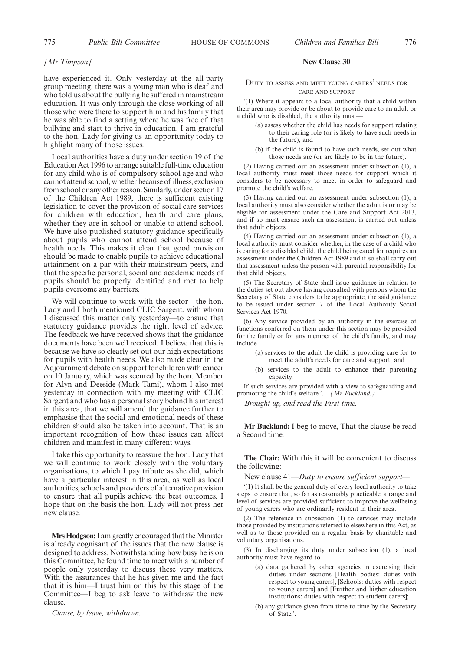#### *[Mr Timpson]*

have experienced it. Only yesterday at the all-party group meeting, there was a young man who is deaf and who told us about the bullying he suffered in mainstream education. It was only through the close working of all those who were there to support him and his family that he was able to find a setting where he was free of that bullying and start to thrive in education. I am grateful to the hon. Lady for giving us an opportunity today to highlight many of those issues.

Local authorities have a duty under section 19 of the Education Act 1996 to arrange suitable full-time education for any child who is of compulsory school age and who cannot attend school, whether because of illness, exclusion from school or any other reason. Similarly, under section 17 of the Children Act 1989, there is sufficient existing legislation to cover the provision of social care services for children with education, health and care plans, whether they are in school or unable to attend school. We have also published statutory guidance specifically about pupils who cannot attend school because of health needs. This makes it clear that good provision should be made to enable pupils to achieve educational attainment on a par with their mainstream peers, and that the specific personal, social and academic needs of pupils should be properly identified and met to help pupils overcome any barriers.

We will continue to work with the sector—the hon. Lady and I both mentioned CLIC Sargent, with whom I discussed this matter only yesterday—to ensure that statutory guidance provides the right level of advice. The feedback we have received shows that the guidance documents have been well received. I believe that this is because we have so clearly set out our high expectations for pupils with health needs. We also made clear in the Adjournment debate on support for children with cancer on 10 January, which was secured by the hon. Member for Alyn and Deeside (Mark Tami), whom I also met yesterday in connection with my meeting with CLIC Sargent and who has a personal story behind his interest in this area, that we will amend the guidance further to emphasise that the social and emotional needs of these children should also be taken into account. That is an important recognition of how these issues can affect children and manifest in many different ways.

I take this opportunity to reassure the hon. Lady that we will continue to work closely with the voluntary organisations, to which I pay tribute as she did, which have a particular interest in this area, as well as local authorities, schools and providers of alternative provision to ensure that all pupils achieve the best outcomes. I hope that on the basis the hon. Lady will not press her new clause.

**Mrs Hodgson:** I am greatly encouraged that the Minister is already cognisant of the issues that the new clause is designed to address. Notwithstanding how busy he is on this Committee, he found time to meet with a number of people only yesterday to discuss these very matters. With the assurances that he has given me and the fact that it is him—I trust him on this by this stage of the Committee—I beg to ask leave to withdraw the new clause.

*Clause, by leave, withdrawn.*

#### **New Clause 30**

#### DUTY TO ASSESS AND MEET YOUNG CARERS' NEEDS FOR CARE AND SUPPORT

'(1) Where it appears to a local authority that a child within their area may provide or be about to provide care to an adult or a child who is disabled, the authority must—

- (a) assess whether the child has needs for support relating to their caring role (or is likely to have such needs in the future), and
- (b) if the child is found to have such needs, set out what those needs are (or are likely to be in the future).

(2) Having carried out an assessment under subsection (1), a local authority must meet those needs for support which it considers to be necessary to meet in order to safeguard and promote the child's welfare.

(3) Having carried out an assessment under subsection (1), a local authority must also consider whether the adult is or may be eligible for assessment under the Care and Support Act 2013, and if so must ensure such an assessment is carried out unless that adult objects.

(4) Having carried out an assessment under subsection (1), a local authority must consider whether, in the case of a child who is caring for a disabled child, the child being cared for requires an assessment under the Children Act 1989 and if so shall carry out that assessment unless the person with parental responsibility for that child objects.

(5) The Secretary of State shall issue guidance in relation to the duties set out above having consulted with persons whom the Secretary of State considers to be appropriate, the said guidance to be issued under section 7 of the Local Authority Social Services Act 1970.

(6) Any service provided by an authority in the exercise of functions conferred on them under this section may be provided for the family or for any member of the child's family, and may include—

- (a) services to the adult the child is providing care for to meet the adult's needs for care and support; and
- (b) services to the adult to enhance their parenting capacity.

If such services are provided with a view to safeguarding and promoting the child's welfare.'.—*(Mr Buckland.)*

*Brought up, and read the First time.*

**Mr Buckland:** I beg to move, That the clause be read a Second time.

**The Chair:** With this it will be convenient to discuss the following:

New clause 41—*Duty to ensure sufficient support—*

'(1) It shall be the general duty of every local authority to take steps to ensure that, so far as reasonably practicable, a range and level of services are provided sufficient to improve the wellbeing of young carers who are ordinarily resident in their area.

(2) The reference in subsection (1) to services may include those provided by institutions referred to elsewhere in this Act, as well as to those provided on a regular basis by charitable and voluntary organisations.

(3) In discharging its duty under subsection (1), a local authority must have regard to—

- (a) data gathered by other agencies in exercising their duties under sections [Health bodies: duties with respect to young carers], [Schools: duties with respect to young carers] and [Further and higher education institutions: duties with respect to student carers];
- (b) any guidance given from time to time by the Secretary of State.'.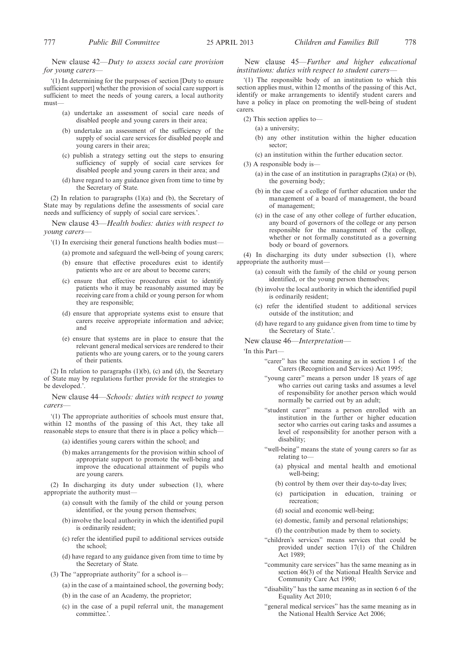New clause 42—*Duty to assess social care provision for young carers—*

'(1) In determining for the purposes of section [Duty to ensure sufficient support] whether the provision of social care support is sufficient to meet the needs of young carers, a local authority must—

- (a) undertake an assessment of social care needs of disabled people and young carers in their area;
- (b) undertake an assessment of the sufficiency of the supply of social care services for disabled people and young carers in their area;
- (c) publish a strategy setting out the steps to ensuring sufficiency of supply of social care services for disabled people and young carers in their area; and
- (d) have regard to any guidance given from time to time by the Secretary of State.

(2) In relation to paragraphs (1)(a) and (b), the Secretary of State may by regulations define the assessments of social care needs and sufficiency of supply of social care services.'.

New clause 43—*Health bodies: duties with respect to young carers—*

- '(1) In exercising their general functions health bodies must—
	- (a) promote and safeguard the well-being of young carers;
	- (b) ensure that effective procedures exist to identify patients who are or are about to become carers;
	- (c) ensure that effective procedures exist to identify patients who it may be reasonably assumed may be receiving care from a child or young person for whom they are responsible;
	- (d) ensure that appropriate systems exist to ensure that carers receive appropriate information and advice; and
	- (e) ensure that systems are in place to ensure that the relevant general medical services are rendered to their patients who are young carers, or to the young carers of their patients.

(2) In relation to paragraphs  $(1)(b)$ , (c) and  $(d)$ , the Secretary of State may by regulations further provide for the strategies to be developed.'.

New clause 44—*Schools: duties with respect to young carers—*

'(1) The appropriate authorities of schools must ensure that, within 12 months of the passing of this Act, they take all reasonable steps to ensure that there is in place a policy which—

- (a) identifies young carers within the school; and
- (b) makes arrangements for the provision within school of appropriate support to promote the well-being and improve the educational attainment of pupils who are young carers.

(2) In discharging its duty under subsection (1), where appropriate the authority must—

- (a) consult with the family of the child or young person identified, or the young person themselves;
- (b) involve the local authority in which the identified pupil is ordinarily resident;
- (c) refer the identified pupil to additional services outside the school;
- (d) have regard to any guidance given from time to time by the Secretary of State.
- (3) The "appropriate authority" for a school is—
	- (a) in the case of a maintained school, the governing body;
	- (b) in the case of an Academy, the proprietor;
	- (c) in the case of a pupil referral unit, the management committee.'.

New clause 45—*Further and higher educational institutions: duties with respect to student carers—*

'(1) The responsible body of an institution to which this section applies must, within 12 months of the passing of this Act, identify or make arrangements to identify student carers and have a policy in place on promoting the well-being of student carers.

- (2) This section applies to—
	- (a) a university;
	- (b) any other institution within the higher education sector;
	- (c) an institution within the further education sector.
- (3) A responsible body is—
	- (a) in the case of an institution in paragraphs  $(2)(a)$  or  $(b)$ , the governing body;
	- (b) in the case of a college of further education under the management of a board of management, the board of management;
	- (c) in the case of any other college of further education, any board of governors of the college or any person responsible for the management of the college, whether or not formally constituted as a governing body or board of governors.

(4) In discharging its duty under subsection (1), where appropriate the authority must—

- (a) consult with the family of the child or young person identified, or the young person themselves;
- (b) involve the local authority in which the identified pupil is ordinarily resident;
- (c) refer the identified student to additional services outside of the institution; and
- (d) have regard to any guidance given from time to time by the Secretary of State.'.

New clause 46—*Interpretation—*

'In this Part—

- "carer" has the same meaning as in section 1 of the Carers (Recognition and Services) Act 1995;
- "young carer" means a person under 18 years of age who carries out caring tasks and assumes a level of responsibility for another person which would normally be carried out by an adult;
- "student carer" means a person enrolled with an institution in the further or higher education sector who carries out caring tasks and assumes a level of responsibility for another person with a disability;
- "well-being" means the state of young carers so far as relating to—
	- (a) physical and mental health and emotional well-being;
	- (b) control by them over their day-to-day lives;
	- (c) participation in education, training or recreation;
	- (d) social and economic well-being;
	- (e) domestic, family and personal relationships;
	- (f) the contribution made by them to society.
- "children's services" means services that could be provided under section 17(1) of the Children Act 1989;
- "community care services" has the same meaning as in section 46(3) of the National Health Service and Community Care Act 1990;
- "disability" has the same meaning as in section 6 of the Equality Act 2010;
- "general medical services" has the same meaning as in the National Health Service Act 2006;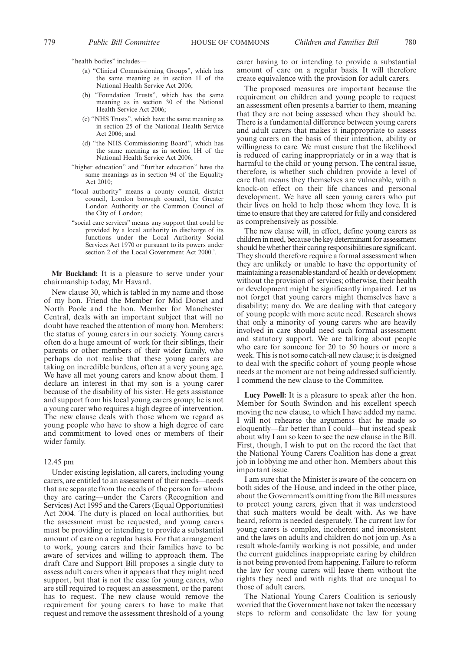"health bodies" includes—

- (a) "Clinical Commissioning Groups", which has the same meaning as in section 1I of the National Health Service Act 2006;
- (b) "Foundation Trusts", which has the same meaning as in section 30 of the National Health Service Act 2006;
- (c) "NHS Trusts", which have the same meaning as in section 25 of the National Health Service Act 2006; and
- (d) "the NHS Commissioning Board", which has the same meaning as in section 1H of the National Health Service Act 2006;
- "higher education" and "further education" have the same meanings as in section 94 of the Equality Act 2010;
- "local authority" means a county council, district council, London borough council, the Greater London Authority or the Common Council of the City of London;
- "social care services" means any support that could be provided by a local authority in discharge of its functions under the Local Authority Social Services Act 1970 or pursuant to its powers under section 2 of the Local Government Act 2000.'.

**Mr Buckland:** It is a pleasure to serve under your chairmanship today, Mr Havard.

New clause 30, which is tabled in my name and those of my hon. Friend the Member for Mid Dorset and North Poole and the hon. Member for Manchester Central, deals with an important subject that will no doubt have reached the attention of many hon. Members: the status of young carers in our society. Young carers often do a huge amount of work for their siblings, their parents or other members of their wider family, who perhaps do not realise that these young carers are taking on incredible burdens, often at a very young age. We have all met young carers and know about them. I declare an interest in that my son is a young carer because of the disability of his sister. He gets assistance and support from his local young carers group; he is not a young carer who requires a high degree of intervention. The new clause deals with those whom we regard as young people who have to show a high degree of care and commitment to loved ones or members of their wider family.

#### 12.45 pm

Under existing legislation, all carers, including young carers, are entitled to an assessment of their needs—needs that are separate from the needs of the person for whom they are caring—under the Carers (Recognition and Services) Act 1995 and the Carers (Equal Opportunities) Act 2004. The duty is placed on local authorities, but the assessment must be requested, and young carers must be providing or intending to provide a substantial amount of care on a regular basis. For that arrangement to work, young carers and their families have to be aware of services and willing to approach them. The draft Care and Support Bill proposes a single duty to assess adult carers when it appears that they might need support, but that is not the case for young carers, who are still required to request an assessment, or the parent has to request. The new clause would remove the requirement for young carers to have to make that request and remove the assessment threshold of a young

carer having to or intending to provide a substantial amount of care on a regular basis. It will therefore create equivalence with the provision for adult carers.

The proposed measures are important because the requirement on children and young people to request an assessment often presents a barrier to them, meaning that they are not being assessed when they should be. There is a fundamental difference between young carers and adult carers that makes it inappropriate to assess young carers on the basis of their intention, ability or willingness to care. We must ensure that the likelihood is reduced of caring inappropriately or in a way that is harmful to the child or young person. The central issue, therefore, is whether such children provide a level of care that means they themselves are vulnerable, with a knock-on effect on their life chances and personal development. We have all seen young carers who put their lives on hold to help those whom they love. It is time to ensure that they are catered for fully and considered as comprehensively as possible.

The new clause will, in effect, define young carers as children in need, because the key determinant for assessment should be whether their caring responsibilities are significant. They should therefore require a formal assessment when they are unlikely or unable to have the opportunity of maintaining a reasonable standard of health or development without the provision of services; otherwise, their health or development might be significantly impaired. Let us not forget that young carers might themselves have a disability; many do. We are dealing with that category of young people with more acute need. Research shows that only a minority of young carers who are heavily involved in care should need such formal assessment and statutory support. We are talking about people who care for someone for 20 to 50 hours or more a week. This is not some catch-all new clause; it is designed to deal with the specific cohort of young people whose needs at the moment are not being addressed sufficiently. I commend the new clause to the Committee.

**Lucy Powell:** It is a pleasure to speak after the hon. Member for South Swindon and his excellent speech moving the new clause, to which I have added my name. I will not rehearse the arguments that he made so eloquently—far better than I could—but instead speak about why I am so keen to see the new clause in the Bill. First, though, I wish to put on the record the fact that the National Young Carers Coalition has done a great job in lobbying me and other hon. Members about this important issue.

I am sure that the Minister is aware of the concern on both sides of the House, and indeed in the other place, about the Government's omitting from the Bill measures to protect young carers, given that it was understood that such matters would be dealt with. As we have heard, reform is needed desperately. The current law for young carers is complex, incoherent and inconsistent and the laws on adults and children do not join up. As a result whole-family working is not possible, and under the current guidelines inappropriate caring by children is not being prevented from happening. Failure to reform the law for young carers will leave them without the rights they need and with rights that are unequal to those of adult carers.

The National Young Carers Coalition is seriously worried that the Government have not taken the necessary steps to reform and consolidate the law for young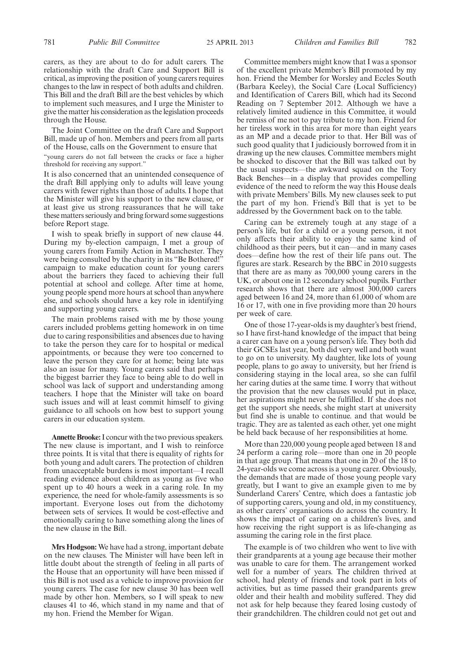carers, as they are about to do for adult carers. The relationship with the draft Care and Support Bill is critical, as improving the position of young carers requires changes to the law in respect of both adults and children. This Bill and the draft Bill are the best vehicles by which to implement such measures, and I urge the Minister to give the matter his consideration as the legislation proceeds through the House.

The Joint Committee on the draft Care and Support Bill, made up of hon. Members and peers from all parts of the House, calls on the Government to ensure that

"young carers do not fall between the cracks or face a higher threshold for receiving any support."

It is also concerned that an unintended consequence of the draft Bill applying only to adults will leave young carers with fewer rights than those of adults. I hope that the Minister will give his support to the new clause, or at least give us strong reassurances that he will take these matters seriously and bring forward some suggestions before Report stage.

I wish to speak briefly in support of new clause 44. During my by-election campaign, I met a group of young carers from Family Action in Manchester. They were being consulted by the charity in its "Be Bothered!" campaign to make education count for young carers about the barriers they faced to achieving their full potential at school and college. After time at home, young people spend more hours at school than anywhere else, and schools should have a key role in identifying and supporting young carers.

The main problems raised with me by those young carers included problems getting homework in on time due to caring responsibilities and absences due to having to take the person they care for to hospital or medical appointments, or because they were too concerned to leave the person they care for at home; being late was also an issue for many. Young carers said that perhaps the biggest barrier they face to being able to do well in school was lack of support and understanding among teachers. I hope that the Minister will take on board such issues and will at least commit himself to giving guidance to all schools on how best to support young carers in our education system.

**Annette Brooke:**I concur with the two previous speakers. The new clause is important, and I wish to reinforce three points. It is vital that there is equality of rights for both young and adult carers. The protection of children from unacceptable burdens is most important—I recall reading evidence about children as young as five who spent up to 40 hours a week in a caring role. In my experience, the need for whole-family assessments is so important. Everyone loses out from the dichotomy between sets of services. It would be cost-effective and emotionally caring to have something along the lines of the new clause in the Bill.

**Mrs Hodgson:** We have had a strong, important debate on the new clauses. The Minister will have been left in little doubt about the strength of feeling in all parts of the House that an opportunity will have been missed if this Bill is not used as a vehicle to improve provision for young carers. The case for new clause 30 has been well made by other hon. Members, so I will speak to new clauses 41 to 46, which stand in my name and that of my hon. Friend the Member for Wigan.

Committee members might know that I was a sponsor of the excellent private Member's Bill promoted by my hon. Friend the Member for Worsley and Eccles South (Barbara Keeley), the Social Care (Local Sufficiency) and Identification of Carers Bill, which had its Second Reading on 7 September 2012. Although we have a relatively limited audience in this Committee, it would be remiss of me not to pay tribute to my hon. Friend for her tireless work in this area for more than eight years as an MP and a decade prior to that. Her Bill was of such good quality that I judiciously borrowed from it in drawing up the new clauses. Committee members might be shocked to discover that the Bill was talked out by the usual suspects—the awkward squad on the Tory Back Benches—in a display that provides compelling evidence of the need to reform the way this House deals with private Members' Bills. My new clauses seek to put the part of my hon. Friend's Bill that is yet to be addressed by the Government back on to the table.

Caring can be extremely tough at any stage of a person's life, but for a child or a young person, it not only affects their ability to enjoy the same kind of childhood as their peers, but it can—and in many cases does—define how the rest of their life pans out. The figures are stark. Research by the BBC in 2010 suggests that there are as many as 700,000 young carers in the UK, or about one in 12 secondary school pupils. Further research shows that there are almost 300,000 carers aged between 16 and 24, more than 61,000 of whom are 16 or 17, with one in five providing more than 20 hours per week of care.

One of those 17-year-olds is my daughter's best friend, so I have first-hand knowledge of the impact that being a carer can have on a young person's life. They both did their GCSEs last year, both did very well and both want to go on to university. My daughter, like lots of young people, plans to go away to university, but her friend is considering staying in the local area, so she can fulfil her caring duties at the same time. I worry that without the provision that the new clauses would put in place, her aspirations might never be fulfilled. If she does not get the support she needs, she might start at university but find she is unable to continue. and that would be tragic. They are as talented as each other, yet one might be held back because of her responsibilities at home.

More than 220,000 young people aged between 18 and 24 perform a caring role—more than one in 20 people in that age group. That means that one in 20 of the 18 to 24-year-olds we come across is a young carer. Obviously, the demands that are made of those young people vary greatly, but I want to give an example given to me by Sunderland Carers' Centre, which does a fantastic job of supporting carers, young and old, in my constituency, as other carers' organisations do across the country. It shows the impact of caring on a children's lives, and how receiving the right support is as life-changing as assuming the caring role in the first place.

The example is of two children who went to live with their grandparents at a young age because their mother was unable to care for them. The arrangement worked well for a number of years. The children thrived at school, had plenty of friends and took part in lots of activities, but as time passed their grandparents grew older and their health and mobility suffered. They did not ask for help because they feared losing custody of their grandchildren. The children could not get out and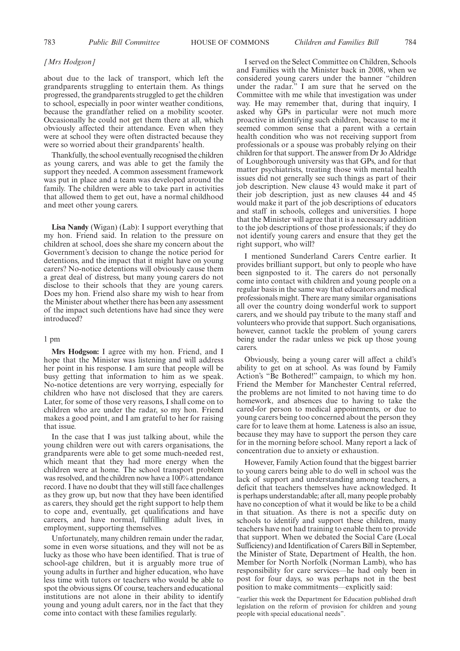#### *[Mrs Hodgson]*

about due to the lack of transport, which left the grandparents struggling to entertain them. As things progressed, the grandparents struggled to get the children to school, especially in poor winter weather conditions, because the grandfather relied on a mobility scooter. Occasionally he could not get them there at all, which obviously affected their attendance. Even when they were at school they were often distracted because they were so worried about their grandparents' health.

Thankfully, the school eventually recognised the children as young carers, and was able to get the family the support they needed. A common assessment framework was put in place and a team was developed around the family. The children were able to take part in activities that allowed them to get out, have a normal childhood and meet other young carers.

**Lisa Nandy** (Wigan) (Lab): I support everything that my hon. Friend said. In relation to the pressure on children at school, does she share my concern about the Government's decision to change the notice period for detentions, and the impact that it might have on young carers? No-notice detentions will obviously cause them a great deal of distress, but many young carers do not disclose to their schools that they are young carers. Does my hon. Friend also share my wish to hear from the Minister about whether there has been any assessment of the impact such detentions have had since they were introduced?

#### 1 pm

**Mrs Hodgson:** I agree with my hon. Friend, and I hope that the Minister was listening and will address her point in his response. I am sure that people will be busy getting that information to him as we speak. No-notice detentions are very worrying, especially for children who have not disclosed that they are carers. Later, for some of those very reasons, I shall come on to children who are under the radar, so my hon. Friend makes a good point, and I am grateful to her for raising that issue.

In the case that I was just talking about, while the young children were out with carers organisations, the grandparents were able to get some much-needed rest, which meant that they had more energy when the children were at home. The school transport problem was resolved, and the children now have a 100% attendance record. I have no doubt that they will still face challenges as they grow up, but now that they have been identified as carers, they should get the right support to help them to cope and, eventually, get qualifications and have careers, and have normal, fulfilling adult lives, in employment, supporting themselves.

Unfortunately, many children remain under the radar, some in even worse situations, and they will not be as lucky as those who have been identified. That is true of school-age children, but it is arguably more true of young adults in further and higher education, who have less time with tutors or teachers who would be able to spot the obvious signs. Of course, teachers and educational institutions are not alone in their ability to identify young and young adult carers, nor in the fact that they come into contact with these families regularly.

I served on the Select Committee on Children, Schools and Families with the Minister back in 2008, when we considered young carers under the banner "children under the radar." I am sure that he served on the Committee with me while that investigation was under way. He may remember that, during that inquiry, I asked why GPs in particular were not much more proactive in identifying such children, because to me it seemed common sense that a parent with a certain health condition who was not receiving support from professionals or a spouse was probably relying on their children for that support. The answer from Dr Jo Aldridge of Loughborough university was that GPs, and for that matter psychiatrists, treating those with mental health issues did not generally see such things as part of their job description. New clause 43 would make it part of their job description, just as new clauses 44 and 45 would make it part of the job descriptions of educators and staff in schools, colleges and universities. I hope that the Minister will agree that it is a necessary addition to the job descriptions of those professionals; if they do not identify young carers and ensure that they get the right support, who will?

I mentioned Sunderland Carers Centre earlier. It provides brilliant support, but only to people who have been signposted to it. The carers do not personally come into contact with children and young people on a regular basis in the same way that educators and medical professionals might. There are many similar organisations all over the country doing wonderful work to support carers, and we should pay tribute to the many staff and volunteers who provide that support. Such organisations, however, cannot tackle the problem of young carers being under the radar unless we pick up those young carers.

Obviously, being a young carer will affect a child's ability to get on at school. As was found by Family Action's "Be Bothered!" campaign, to which my hon. Friend the Member for Manchester Central referred, the problems are not limited to not having time to do homework, and absences due to having to take the cared-for person to medical appointments, or due to young carers being too concerned about the person they care for to leave them at home. Lateness is also an issue, because they may have to support the person they care for in the morning before school. Many report a lack of concentration due to anxiety or exhaustion.

However, Family Action found that the biggest barrier to young carers being able to do well in school was the lack of support and understanding among teachers, a deficit that teachers themselves have acknowledged. It is perhaps understandable; after all, many people probably have no conception of what it would be like to be a child in that situation. As there is not a specific duty on schools to identify and support these children, many teachers have not had training to enable them to provide that support. When we debated the Social Care (Local Sufficiency) and Identification of Carers Bill in September, the Minister of State, Department of Health, the hon. Member for North Norfolk (Norman Lamb), who has responsibility for care services—he had only been in post for four days, so was perhaps not in the best position to make commitments—explicitly said:

"earlier this week the Department for Education published draft legislation on the reform of provision for children and young people with special educational needs".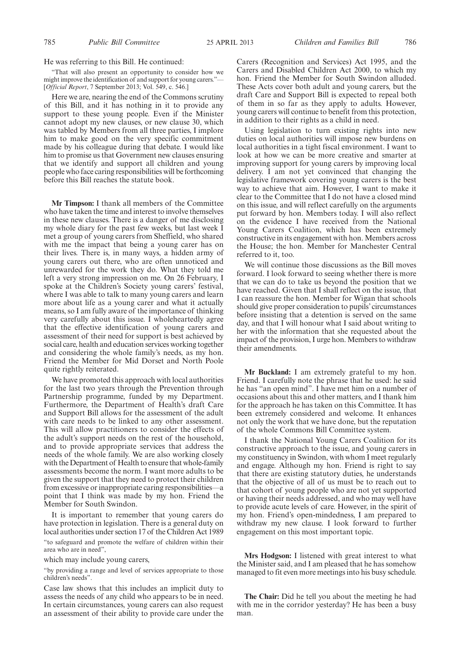He was referring to this Bill. He continued:

"That will also present an opportunity to consider how we might improve the identification of and support for young carers."— [*Official Report*, 7 September 2013; Vol. 549, c. 546.]

Here we are, nearing the end of the Commons scrutiny of this Bill, and it has nothing in it to provide any support to these young people. Even if the Minister cannot adopt my new clauses, or new clause 30, which was tabled by Members from all three parties, I implore him to make good on the very specific commitment made by his colleague during that debate. I would like him to promise us that Government new clauses ensuring that we identify and support all children and young people who face caring responsibilities will be forthcoming before this Bill reaches the statute book.

**Mr Timpson:** I thank all members of the Committee who have taken the time and interest to involve themselves in these new clauses. There is a danger of me disclosing my whole diary for the past few weeks, but last week I met a group of young carers from Sheffield, who shared with me the impact that being a young carer has on their lives. There is, in many ways, a hidden army of young carers out there, who are often unnoticed and unrewarded for the work they do. What they told me left a very strong impression on me. On 26 February, I spoke at the Children's Society young carers' festival, where I was able to talk to many young carers and learn more about life as a young carer and what it actually means, so I am fully aware of the importance of thinking very carefully about this issue. I wholeheartedly agree that the effective identification of young carers and assessment of their need for support is best achieved by social care, health and education services working together and considering the whole family's needs, as my hon. Friend the Member for Mid Dorset and North Poole quite rightly reiterated.

We have promoted this approach with local authorities for the last two years through the Prevention through Partnership programme, funded by my Department. Furthermore, the Department of Health's draft Care and Support Bill allows for the assessment of the adult with care needs to be linked to any other assessment. This will allow practitioners to consider the effects of the adult's support needs on the rest of the household, and to provide appropriate services that address the needs of the whole family. We are also working closely with the Department of Health to ensure that whole-family assessments become the norm. I want more adults to be given the support that they need to protect their children from excessive or inappropriate caring responsibilities—a point that I think was made by my hon. Friend the Member for South Swindon.

It is important to remember that young carers do have protection in legislation. There is a general duty on local authorities under section 17 of the Children Act 1989

"to safeguard and promote the welfare of children within their area who are in need",

which may include young carers,

"by providing a range and level of services appropriate to those children's needs".

Case law shows that this includes an implicit duty to assess the needs of any child who appears to be in need. In certain circumstances, young carers can also request an assessment of their ability to provide care under the Carers (Recognition and Services) Act 1995, and the Carers and Disabled Children Act 2000, to which my hon. Friend the Member for South Swindon alluded. These Acts cover both adult and young carers, but the draft Care and Support Bill is expected to repeal both of them in so far as they apply to adults. However, young carers will continue to benefit from this protection, in addition to their rights as a child in need.

Using legislation to turn existing rights into new duties on local authorities will impose new burdens on local authorities in a tight fiscal environment. I want to look at how we can be more creative and smarter at improving support for young carers by improving local delivery. I am not yet convinced that changing the legislative framework covering young carers is the best way to achieve that aim. However, I want to make it clear to the Committee that I do not have a closed mind on this issue, and will reflect carefully on the arguments put forward by hon. Members today. I will also reflect on the evidence I have received from the National Young Carers Coalition, which has been extremely constructive in its engagement with hon. Members across the House; the hon. Member for Manchester Central referred to it, too.

We will continue those discussions as the Bill moves forward. I look forward to seeing whether there is more that we can do to take us beyond the position that we have reached. Given that I shall reflect on the issue, that I can reassure the hon. Member for Wigan that schools should give proper consideration to pupils' circumstances before insisting that a detention is served on the same day, and that I will honour what I said about writing to her with the information that she requested about the impact of the provision, I urge hon. Members to withdraw their amendments.

**Mr Buckland:** I am extremely grateful to my hon. Friend. I carefully note the phrase that he used: he said he has "an open mind". I have met him on a number of occasions about this and other matters, and I thank him for the approach he has taken on this Committee. It has been extremely considered and welcome. It enhances not only the work that we have done, but the reputation of the whole Commons Bill Committee system.

I thank the National Young Carers Coalition for its constructive approach to the issue, and young carers in my constituency in Swindon, with whom I meet regularly and engage. Although my hon. Friend is right to say that there are existing statutory duties, he understands that the objective of all of us must be to reach out to that cohort of young people who are not yet supported or having their needs addressed, and who may well have to provide acute levels of care. However, in the spirit of my hon. Friend's open-mindedness, I am prepared to withdraw my new clause. I look forward to further engagement on this most important topic.

**Mrs Hodgson:** I listened with great interest to what the Minister said, and I am pleased that he has somehow managed to fit even more meetings into his busy schedule.

**The Chair:** Did he tell you about the meeting he had with me in the corridor yesterday? He has been a busy man.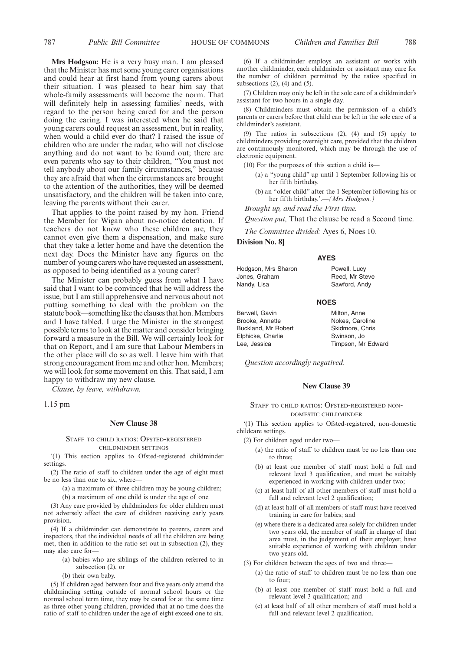**Mrs Hodgson:** He is a very busy man. I am pleased that the Minister has met some young carer organisations and could hear at first hand from young carers about their situation. I was pleased to hear him say that whole-family assessments will become the norm. That will definitely help in assessing families' needs, with regard to the person being cared for and the person doing the caring. I was interested when he said that young carers could request an assessment, but in reality, when would a child ever do that? I raised the issue of children who are under the radar, who will not disclose anything and do not want to be found out; there are even parents who say to their children, "You must not tell anybody about our family circumstances," because they are afraid that when the circumstances are brought to the attention of the authorities, they will be deemed unsatisfactory, and the children will be taken into care, leaving the parents without their carer.

That applies to the point raised by my hon. Friend the Member for Wigan about no-notice detention. If teachers do not know who these children are, they cannot even give them a dispensation, and make sure that they take a letter home and have the detention the next day. Does the Minister have any figures on the number of young carers who have requested an assessment, as opposed to being identified as a young carer?

The Minister can probably guess from what I have said that I want to be convinced that he will address the issue, but I am still apprehensive and nervous about not putting something to deal with the problem on the statute book—something like the clauses that hon. Members and I have tabled. I urge the Minister in the strongest possible terms to look at the matter and consider bringing forward a measure in the Bill. We will certainly look for that on Report, and I am sure that Labour Members in the other place will do so as well. I leave him with that strong encouragement from me and other hon. Members; we will look for some movement on this. That said, I am happy to withdraw my new clause.

*Clause, by leave, withdrawn.*

1.15 pm

# **New Clause 38**

#### STAFF TO CHILD RATIOS: OFSTED-REGISTERED CHILDMINDER SETTINGS

'(1) This section applies to Ofsted-registered childminder settings.

(2) The ratio of staff to children under the age of eight must be no less than one to six, where—

(a) a maximum of three children may be young children;

(b) a maximum of one child is under the age of one.

(3) Any care provided by childminders for older children must not adversely affect the care of children receiving early years provision.

(4) If a childminder can demonstrate to parents, carers and inspectors, that the individual needs of all the children are being met, then in addition to the ratio set out in subsection (2), they may also care for-

(a) babies who are siblings of the children referred to in subsection (2), or

(b) their own baby.

(5) If children aged between four and five years only attend the childminding setting outside of normal school hours or the normal school term time, they may be cared for at the same time as three other young children, provided that at no time does the ratio of staff to children under the age of eight exceed one to six.

(6) If a childminder employs an assistant or works with another childminder, each childminder or assistant may care for the number of children permitted by the ratios specified in subsections  $(2)$ ,  $(4)$  and  $(5)$ .

(7) Children may only be left in the sole care of a childminder's assistant for two hours in a single day.

(8) Childminders must obtain the permission of a child's parents or carers before that child can be left in the sole care of a childminder's assistant.

(9) The ratios in subsections (2), (4) and (5) apply to childminders providing overnight care, provided that the children are continuously monitored, which may be through the use of electronic equipment.

(10) For the purposes of this section a child is—

- (a) a "young child" up until 1 September following his or her fifth birthday.
- (b) an "older child" after the 1 September following his or her fifth birthday.'.—*(Mrs Hodgson.)*

*Brought up, and read the First time.*

*Question put,* That the clause be read a Second time.

*The Committee divided:* Ayes 6, Noes 10.

**Division No. 8]**

#### **AYES**

Hodgson, Mrs Sharon Jones, Graham Nandy, Lisa Powell, Lucy Reed, Mr Steve Sawford, Andy

#### **NOES**

| Barwell, Gavin      | Milton, Anne       |
|---------------------|--------------------|
| Brooke, Annette     | Nokes, Caroline    |
| Buckland, Mr Robert | Skidmore, Chris    |
| Elphicke, Charlie   | Swinson, Jo        |
| Lee, Jessica        | Timpson, Mr Edward |

*Question accordingly negatived.*

## **New Clause 39**

STAFF TO CHILD RATIOS: OFSTED-REGISTERED NON-DOMESTIC CHILDMINDER

'(1) This section applies to Ofsted-registered, non-domestic childcare settings.

- (2) For children aged under two—
	- (a) the ratio of staff to children must be no less than one to three;
	- (b) at least one member of staff must hold a full and relevant level 3 qualification, and must be suitably experienced in working with children under two;
	- (c) at least half of all other members of staff must hold a full and relevant level 2 qualification;
	- (d) at least half of all members of staff must have received training in care for babies; and
	- (e) where there is a dedicated area solely for children under two years old, the member of staff in charge of that area must, in the judgement of their employer, have suitable experience of working with children under two years old.
- (3) For children between the ages of two and three—
	- (a) the ratio of staff to children must be no less than one to four;
	- (b) at least one member of staff must hold a full and relevant level 3 qualification; and
	- (c) at least half of all other members of staff must hold a full and relevant level 2 qualification.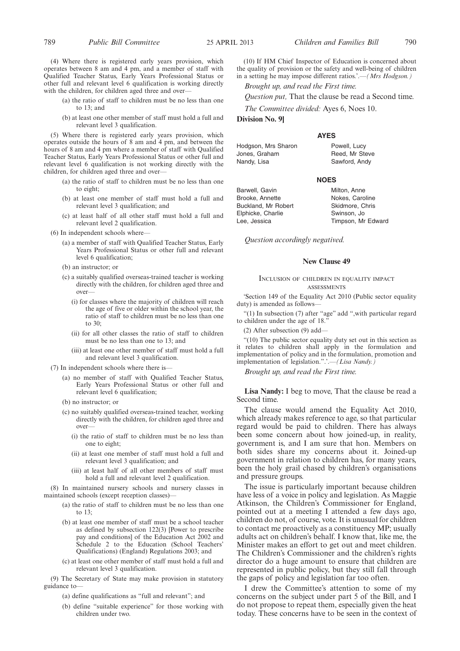(4) Where there is registered early years provision, which operates between 8 am and 4 pm, and a member of staff with Qualified Teacher Status, Early Years Professional Status or other full and relevant level 6 qualification is working directly with the children, for children aged three and over-

- (a) the ratio of staff to children must be no less than one to 13; and
- (b) at least one other member of staff must hold a full and relevant level 3 qualification.

(5) Where there is registered early years provision, which operates outside the hours of 8 am and 4 pm, and between the hours of 8 am and 4 pm where a member of staff with Qualified Teacher Status, Early Years Professional Status or other full and relevant level 6 qualification is not working directly with the children, for children aged three and over—

- (a) the ratio of staff to children must be no less than one to eight;
- (b) at least one member of staff must hold a full and relevant level 3 qualification; and
- (c) at least half of all other staff must hold a full and relevant level 2 qualification.
- (6) In independent schools where—
	- (a) a member of staff with Qualified Teacher Status, Early Years Professional Status or other full and relevant level 6 qualification;
	- (b) an instructor; or
	- (c) a suitably qualified overseas-trained teacher is working directly with the children, for children aged three and over—
		- (i) for classes where the majority of children will reach the age of five or older within the school year, the ratio of staff to children must be no less than one to 30;
		- (ii) for all other classes the ratio of staff to children must be no less than one to 13; and
		- (iii) at least one other member of staff must hold a full and relevant level 3 qualification.
- (7) In independent schools where there is—
	- (a) no member of staff with Qualified Teacher Status, Early Years Professional Status or other full and relevant level 6 qualification;
	- (b) no instructor; or
	- (c) no suitably qualified overseas-trained teacher, working directly with the children, for children aged three and over—
		- (i) the ratio of staff to children must be no less than one to eight;
		- (ii) at least one member of staff must hold a full and relevant level 3 qualification; and
		- (iii) at least half of all other members of staff must hold a full and relevant level 2 qualification.

(8) In maintained nursery schools and nursery classes in maintained schools (except reception classes)—

- (a) the ratio of staff to children must be no less than one to 13;
- (b) at least one member of staff must be a school teacher as defined by subsection 122(3) [Power to prescribe pay and conditions] of the Education Act 2002 and Schedule 2 to the Education (School Teachers' Qualifications) (England) Regulations 2003; and
- (c) at least one other member of staff must hold a full and relevant level 3 qualification.

(9) The Secretary of State may make provision in statutory guidance to—

- (a) define qualifications as "full and relevant"; and
- (b) define "suitable experience" for those working with children under two.

(10) If HM Chief Inspector of Education is concerned about the quality of provision or the safety and well-being of children in a setting he may impose different ratios.'.—*(Mrs Hodgson.)* 

*Brought up, and read the First time.*

*Question put,* That the clause be read a Second time.

*The Committee divided:* Ayes 6, Noes 10.

**Division No. 9]**

#### **AYES**

Hodgson, Mrs Sharon Jones, Graham Nandy, Lisa Powell, Lucy Reed, Mr Steve Sawford, Andy

#### **NOES**

Milton, Anne Nokes, Caroline Skidmore, Chris Swinson, Jo Timpson, Mr Edward

Barwell, Gavin Brooke, Annette Buckland, Mr Robert Elphicke, Charlie Lee, Jessica

*Question accordingly negatived.*

#### **New Clause 49**

#### INCLUSION OF CHILDREN IN EQUALITY IMPACT ASSESSMENTS

'Section 149 of the Equality Act 2010 (Public sector equality duty) is amended as follows-

"(1) In subsection (7) after "age" add ",with particular regard to children under the age of 18."

(2) After subsection (9) add—

"(10) The public sector equality duty set out in this section as it relates to children shall apply in the formulation and implementation of policy and in the formulation, promotion and implementation of legislation.".'.—*(Lisa Nandy.)*

*Brought up, and read the First time.*

**Lisa Nandy:** I beg to move, That the clause be read a Second time.

The clause would amend the Equality Act 2010, which already makes reference to age, so that particular regard would be paid to children. There has always been some concern about how joined-up, in reality, government is, and I am sure that hon. Members on both sides share my concerns about it. Joined-up government in relation to children has, for many years, been the holy grail chased by children's organisations and pressure groups.

The issue is particularly important because children have less of a voice in policy and legislation. As Maggie Atkinson, the Children's Commissioner for England, pointed out at a meeting I attended a few days ago, children do not, of course, vote. It is unusual for children to contact me proactively as a constituency MP; usually adults act on children's behalf. I know that, like me, the Minister makes an effort to get out and meet children. The Children's Commissioner and the children's rights director do a huge amount to ensure that children are represented in public policy, but they still fall through the gaps of policy and legislation far too often.

I drew the Committee's attention to some of my concerns on the subject under part 5 of the Bill, and I do not propose to repeat them, especially given the heat today. These concerns have to be seen in the context of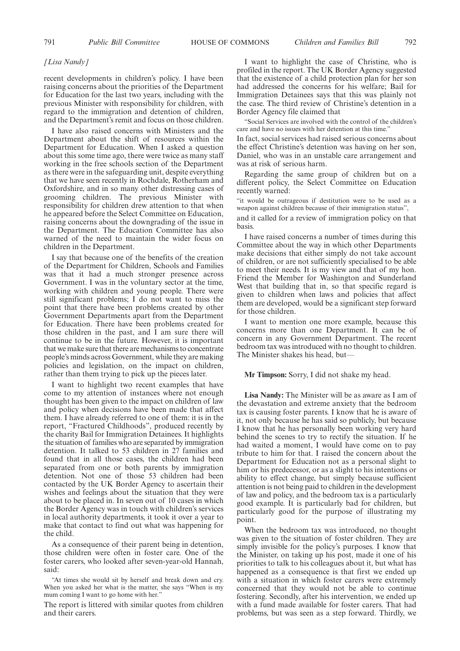#### *[Lisa Nandy]*

recent developments in children's policy. I have been raising concerns about the priorities of the Department for Education for the last two years, including with the previous Minister with responsibility for children, with regard to the immigration and detention of children, and the Department's remit and focus on those children.

I have also raised concerns with Ministers and the Department about the shift of resources within the Department for Education. When I asked a question about this some time ago, there were twice as many staff working in the free schools section of the Department as there were in the safeguarding unit, despite everything that we have seen recently in Rochdale, Rotherham and Oxfordshire, and in so many other distressing cases of grooming children. The previous Minister with responsibility for children drew attention to that when he appeared before the Select Committee on Education, raising concerns about the downgrading of the issue in the Department. The Education Committee has also warned of the need to maintain the wider focus on children in the Department.

I say that because one of the benefits of the creation of the Department for Children, Schools and Families was that it had a much stronger presence across Government. I was in the voluntary sector at the time, working with children and young people. There were still significant problems; I do not want to miss the point that there have been problems created by other Government Departments apart from the Department for Education. There have been problems created for those children in the past, and I am sure there will continue to be in the future. However, it is important that we make sure that there are mechanisms to concentrate people's minds across Government, while they are making policies and legislation, on the impact on children, rather than them trying to pick up the pieces later.

I want to highlight two recent examples that have come to my attention of instances where not enough thought has been given to the impact on children of law and policy when decisions have been made that affect them. I have already referred to one of them: it is in the report, "Fractured Childhoods", produced recently by the charity Bail for Immigration Detainees. It highlights the situation of families who are separated by immigration detention. It talked to 53 children in 27 families and found that in all those cases, the children had been separated from one or both parents by immigration detention. Not one of those 53 children had been contacted by the UK Border Agency to ascertain their wishes and feelings about the situation that they were about to be placed in. In seven out of 10 cases in which the Border Agency was in touch with children's services in local authority departments, it took it over a year to make that contact to find out what was happening for the child.

As a consequence of their parent being in detention, those children were often in foster care. One of the foster carers, who looked after seven-year-old Hannah, said:

"At times she would sit by herself and break down and cry. When you asked her what is the matter, she says "When is my mum coming I want to go home with her."

The report is littered with similar quotes from children and their carers.

I want to highlight the case of Christine, who is profiled in the report. The UK Border Agency suggested that the existence of a child protection plan for her son had addressed the concerns for his welfare; Bail for Immigration Detainees says that this was plainly not the case. The third review of Christine's detention in a Border Agency file claimed that

"Social Services are involved with the control of the children's care and have no issues with her detention at this time."

In fact, social services had raised serious concerns about the effect Christine's detention was having on her son, Daniel, who was in an unstable care arrangement and was at risk of serious harm.

Regarding the same group of children but on a different policy, the Select Committee on Education recently warned:

"it would be outrageous if destitution were to be used as a weapon against children because of their immigration status",

and it called for a review of immigration policy on that basis.

I have raised concerns a number of times during this Committee about the way in which other Departments make decisions that either simply do not take account of children, or are not sufficiently specialised to be able to meet their needs. It is my view and that of my hon. Friend the Member for Washington and Sunderland West that building that in, so that specific regard is given to children when laws and policies that affect them are developed, would be a significant step forward for those children.

I want to mention one more example, because this concerns more than one Department. It can be of concern in any Government Department. The recent bedroom tax was introduced with no thought to children. The Minister shakes his head, but—

#### **Mr Timpson:** Sorry, I did not shake my head.

**Lisa Nandy:** The Minister will be as aware as I am of the devastation and extreme anxiety that the bedroom tax is causing foster parents. I know that he is aware of it, not only because he has said so publicly, but because I know that he has personally been working very hard behind the scenes to try to rectify the situation. If he had waited a moment, I would have come on to pay tribute to him for that. I raised the concern about the Department for Education not as a personal slight to him or his predecessor, or as a slight to his intentions or ability to effect change, but simply because sufficient attention is not being paid to children in the development of law and policy, and the bedroom tax is a particularly good example. It is particularly bad for children, but particularly good for the purpose of illustrating my point.

When the bedroom tax was introduced, no thought was given to the situation of foster children. They are simply invisible for the policy's purposes. I know that the Minister, on taking up his post, made it one of his priorities to talk to his colleagues about it, but what has happened as a consequence is that first we ended up with a situation in which foster carers were extremely concerned that they would not be able to continue fostering. Secondly, after his intervention, we ended up with a fund made available for foster carers. That had problems, but was seen as a step forward. Thirdly, we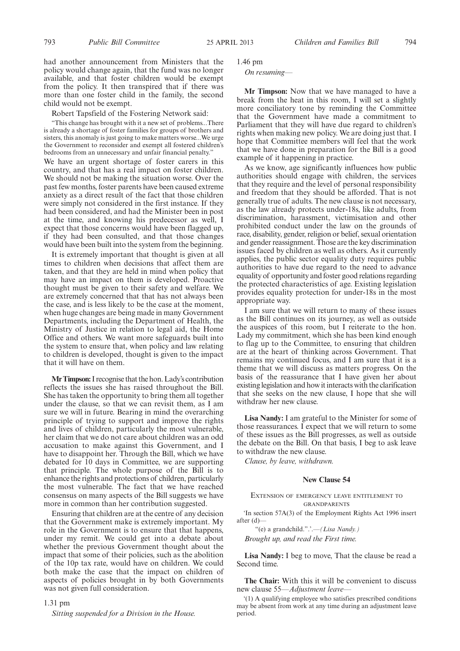had another announcement from Ministers that the policy would change again, that the fund was no longer available, and that foster children would be exempt from the policy. It then transpired that if there was more than one foster child in the family, the second child would not be exempt.

Robert Tapsfield of the Fostering Network said:

"This change has brought with it a new set of problems...There is already a shortage of foster families for groups of brothers and sisters, this anomaly is just going to make matters worse...We urge the Government to reconsider and exempt all fostered children's bedrooms from an unnecessary and unfair financial penalty."

We have an urgent shortage of foster carers in this country, and that has a real impact on foster children. We should not be making the situation worse. Over the past few months, foster parents have been caused extreme anxiety as a direct result of the fact that those children were simply not considered in the first instance. If they had been considered, and had the Minister been in post at the time, and knowing his predecessor as well, I expect that those concerns would have been flagged up, if they had been consulted, and that those changes would have been built into the system from the beginning.

It is extremely important that thought is given at all times to children when decisions that affect them are taken, and that they are held in mind when policy that may have an impact on them is developed. Proactive thought must be given to their safety and welfare. We are extremely concerned that that has not always been the case, and is less likely to be the case at the moment, when huge changes are being made in many Government Departments, including the Department of Health, the Ministry of Justice in relation to legal aid, the Home Office and others. We want more safeguards built into the system to ensure that, when policy and law relating to children is developed, thought is given to the impact that it will have on them.

**Mr Timpson:**I recognise that the hon. Lady's contribution reflects the issues she has raised throughout the Bill. She has taken the opportunity to bring them all together under the clause, so that we can revisit them, as I am sure we will in future. Bearing in mind the overarching principle of trying to support and improve the rights and lives of children, particularly the most vulnerable, her claim that we do not care about children was an odd accusation to make against this Government, and I have to disappoint her. Through the Bill, which we have debated for 10 days in Committee, we are supporting that principle. The whole purpose of the Bill is to enhance the rights and protections of children, particularly the most vulnerable. The fact that we have reached consensus on many aspects of the Bill suggests we have more in common than her contribution suggested.

Ensuring that children are at the centre of any decision that the Government make is extremely important. My role in the Government is to ensure that that happens, under my remit. We could get into a debate about whether the previous Government thought about the impact that some of their policies, such as the abolition of the 10p tax rate, would have on children. We could both make the case that the impact on children of aspects of policies brought in by both Governments was not given full consideration.

#### 1.31 pm

*Sitting suspended for a Division in the House.*

1.46 pm

*On resuming—*

**Mr Timpson:** Now that we have managed to have a break from the heat in this room, I will set a slightly more conciliatory tone by reminding the Committee that the Government have made a commitment to Parliament that they will have due regard to children's rights when making new policy. We are doing just that. I hope that Committee members will feel that the work that we have done in preparation for the Bill is a good example of it happening in practice.

As we know, age significantly influences how public authorities should engage with children, the services that they require and the level of personal responsibility and freedom that they should be afforded. That is not generally true of adults. The new clause is not necessary, as the law already protects under-18s, like adults, from discrimination, harassment, victimisation and other prohibited conduct under the law on the grounds of race, disability, gender, religion or belief, sexual orientation and gender reassignment. Those are the key discrimination issues faced by children as well as others. As it currently applies, the public sector equality duty requires public authorities to have due regard to the need to advance equality of opportunity and foster good relations regarding the protected characteristics of age. Existing legislation provides equality protection for under-18s in the most appropriate way.

I am sure that we will return to many of these issues as the Bill continues on its journey, as well as outside the auspices of this room, but I reiterate to the hon. Lady my commitment, which she has been kind enough to flag up to the Committee, to ensuring that children are at the heart of thinking across Government. That remains my continued focus, and I am sure that it is a theme that we will discuss as matters progress. On the basis of the reassurance that I have given her about existing legislation and how it interacts with the clarification that she seeks on the new clause, I hope that she will withdraw her new clause.

**Lisa Nandy:** I am grateful to the Minister for some of those reassurances. I expect that we will return to some of these issues as the Bill progresses, as well as outside the debate on the Bill. On that basis, I beg to ask leave to withdraw the new clause.

*Clause, by leave, withdrawn.*

#### **New Clause 54**

#### EXTENSION OF EMERGENCY LEAVE ENTITLEMENT TO GRANDPARENTS

'In section 57A(3) of the Employment Rights Act 1996 insert after (d)—

"(e) a grandchild.".'.—*(Lisa Nandy.) Brought up, and read the First time.*

**Lisa Nandy:** I beg to move, That the clause be read a Second time.

**The Chair:** With this it will be convenient to discuss new clause 55—*Adjustment leave—*

'(1) A qualifying employee who satisfies prescribed conditions may be absent from work at any time during an adjustment leave period.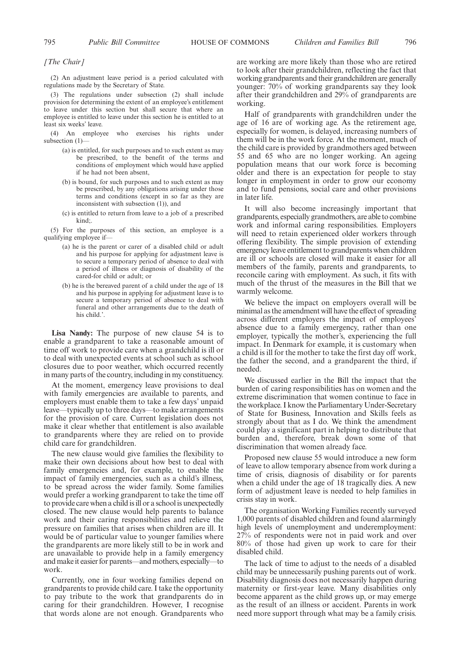#### *[The Chair]*

(2) An adjustment leave period is a period calculated with regulations made by the Secretary of State.

(3) The regulations under subsection (2) shall include provision for determining the extent of an employee's entitlement to leave under this section but shall secure that where an employee is entitled to leave under this section he is entitled to at least six weeks' leave.

(4) An employee who exercises his rights under subsection (1)—

- (a) is entitled, for such purposes and to such extent as may be prescribed, to the benefit of the terms and conditions of employment which would have applied if he had not been absent,
- (b) is bound, for such purposes and to such extent as may be prescribed, by any obligations arising under those terms and conditions (except in so far as they are inconsistent with subsection (1)), and
- (c) is entitled to return from leave to a job of a prescribed kind;.

(5) For the purposes of this section, an employee is a qualifying employee if—

- (a) he is the parent or carer of a disabled child or adult and his purpose for applying for adjustment leave is to secure a temporary period of absence to deal with a period of illness or diagnosis of disability of the cared-for child or adult; or
- (b) he is the bereaved parent of a child under the age of 18 and his purpose in applying for adjustment leave is to secure a temporary period of absence to deal with funeral and other arrangements due to the death of his child.'.

**Lisa Nandy:** The purpose of new clause 54 is to enable a grandparent to take a reasonable amount of time off work to provide care when a grandchild is ill or to deal with unexpected events at school such as school closures due to poor weather, which occurred recently in many parts of the country, including in my constituency.

At the moment, emergency leave provisions to deal with family emergencies are available to parents, and employers must enable them to take a few days' unpaid leave—typically up to three days—to make arrangements for the provision of care. Current legislation does not make it clear whether that entitlement is also available to grandparents where they are relied on to provide child care for grandchildren.

The new clause would give families the flexibility to make their own decisions about how best to deal with family emergencies and, for example, to enable the impact of family emergencies, such as a child's illness, to be spread across the wider family. Some families would prefer a working grandparent to take the time off to provide care when a child is ill or a school is unexpectedly closed. The new clause would help parents to balance work and their caring responsibilities and relieve the pressure on families that arises when children are ill. It would be of particular value to younger families where the grandparents are more likely still to be in work and are unavailable to provide help in a family emergency and make it easier for parents—and mothers, especially—to work.

Currently, one in four working families depend on grandparents to provide child care. I take the opportunity to pay tribute to the work that grandparents do in caring for their grandchildren. However, I recognise that words alone are not enough. Grandparents who are working are more likely than those who are retired to look after their grandchildren, reflecting the fact that working grandparents and their grandchildren are generally younger: 70% of working grandparents say they look after their grandchildren and 29% of grandparents are working.

Half of grandparents with grandchildren under the age of 16 are of working age. As the retirement age, especially for women, is delayed, increasing numbers of them will be in the work force. At the moment, much of the child care is provided by grandmothers aged between 55 and 65 who are no longer working. An ageing population means that our work force is becoming older and there is an expectation for people to stay longer in employment in order to grow our economy and to fund pensions, social care and other provisions in later life.

It will also become increasingly important that grandparents, especially grandmothers, are able to combine work and informal caring responsibilities. Employers will need to retain experienced older workers through offering flexibility. The simple provision of extending emergency leave entitlement to grandparents when children are ill or schools are closed will make it easier for all members of the family, parents and grandparents, to reconcile caring with employment. As such, it fits with much of the thrust of the measures in the Bill that we warmly welcome.

We believe the impact on employers overall will be minimal as the amendment will have the effect of spreading across different employers the impact of employees' absence due to a family emergency, rather than one employer, typically the mother's, experiencing the full impact. In Denmark for example, it is customary when a child is ill for the mother to take the first day off work, the father the second, and a grandparent the third, if needed.

We discussed earlier in the Bill the impact that the burden of caring responsibilities has on women and the extreme discrimination that women continue to face in the workplace. I know the Parliamentary Under-Secretary of State for Business, Innovation and Skills feels as strongly about that as I do. We think the amendment could play a significant part in helping to distribute that burden and, therefore, break down some of that discrimination that women already face.

Proposed new clause 55 would introduce a new form of leave to allow temporary absence from work during a time of crisis, diagnosis of disability or for parents when a child under the age of 18 tragically dies. A new form of adjustment leave is needed to help families in crisis stay in work.

The organisation Working Families recently surveyed 1,000 parents of disabled children and found alarmingly high levels of unemployment and underemployment: 27% of respondents were not in paid work and over 80% of those had given up work to care for their disabled child.

The lack of time to adjust to the needs of a disabled child may be unnecessarily pushing parents out of work. Disability diagnosis does not necessarily happen during maternity or first-year leave. Many disabilities only become apparent as the child grows up, or may emerge as the result of an illness or accident. Parents in work need more support through what may be a family crisis.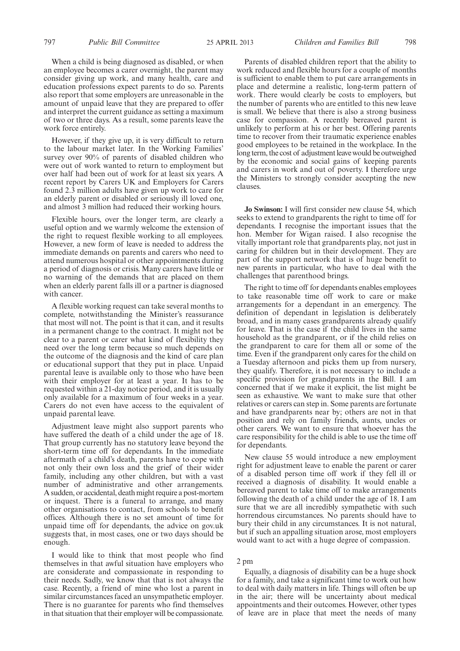When a child is being diagnosed as disabled, or when an employee becomes a carer overnight, the parent may consider giving up work, and many health, care and education professions expect parents to do so. Parents also report that some employers are unreasonable in the amount of unpaid leave that they are prepared to offer and interpret the current guidance as setting a maximum of two or three days. As a result, some parents leave the work force entirely.

However, if they give up, it is very difficult to return to the labour market later. In the Working Families' survey over 90% of parents of disabled children who were out of work wanted to return to employment but over half had been out of work for at least six years. A recent report by Carers UK and Employers for Carers found 2.3 million adults have given up work to care for an elderly parent or disabled or seriously ill loved one, and almost 3 million had reduced their working hours.

Flexible hours, over the longer term, are clearly a useful option and we warmly welcome the extension of the right to request flexible working to all employees. However, a new form of leave is needed to address the immediate demands on parents and carers who need to attend numerous hospital or other appointments during a period of diagnosis or crisis. Many carers have little or no warning of the demands that are placed on them when an elderly parent falls ill or a partner is diagnosed with cancer.

A flexible working request can take several months to complete, notwithstanding the Minister's reassurance that most will not. The point is that it can, and it results in a permanent change to the contract. It might not be clear to a parent or carer what kind of flexibility they need over the long term because so much depends on the outcome of the diagnosis and the kind of care plan or educational support that they put in place. Unpaid parental leave is available only to those who have been with their employer for at least a year. It has to be requested within a 21-day notice period, and it is usually only available for a maximum of four weeks in a year. Carers do not even have access to the equivalent of unpaid parental leave.

Adjustment leave might also support parents who have suffered the death of a child under the age of 18. That group currently has no statutory leave beyond the short-term time off for dependants. In the immediate aftermath of a child's death, parents have to cope with not only their own loss and the grief of their wider family, including any other children, but with a vast number of administrative and other arrangements. A sudden, or accidental, death might require a post-mortem or inquest. There is a funeral to arrange, and many other organisations to contact, from schools to benefit offices. Although there is no set amount of time for unpaid time off for dependants, the advice on gov.uk suggests that, in most cases, one or two days should be enough.

I would like to think that most people who find themselves in that awful situation have employers who are considerate and compassionate in responding to their needs. Sadly, we know that that is not always the case. Recently, a friend of mine who lost a parent in similar circumstances faced an unsympathetic employer. There is no guarantee for parents who find themselves in that situation that their employer will be compassionate.

Parents of disabled children report that the ability to work reduced and flexible hours for a couple of months is sufficient to enable them to put care arrangements in place and determine a realistic, long-term pattern of work. There would clearly be costs to employers, but the number of parents who are entitled to this new leave is small. We believe that there is also a strong business case for compassion. A recently bereaved parent is unlikely to perform at his or her best. Offering parents time to recover from their traumatic experience enables good employees to be retained in the workplace. In the long term, the cost of adjustment leave would be outweighed by the economic and social gains of keeping parents and carers in work and out of poverty. I therefore urge the Ministers to strongly consider accepting the new clauses.

**Jo Swinson:** I will first consider new clause 54, which seeks to extend to grandparents the right to time off for dependants. I recognise the important issues that the hon. Member for Wigan raised. I also recognise the vitally important role that grandparents play, not just in caring for children but in their development. They are part of the support network that is of huge benefit to new parents in particular, who have to deal with the challenges that parenthood brings.

The right to time off for dependants enables employees to take reasonable time off work to care or make arrangements for a dependant in an emergency. The definition of dependant in legislation is deliberately broad, and in many cases grandparents already qualify for leave. That is the case if the child lives in the same household as the grandparent, or if the child relies on the grandparent to care for them all or some of the time. Even if the grandparent only cares for the child on a Tuesday afternoon and picks them up from nursery, they qualify. Therefore, it is not necessary to include a specific provision for grandparents in the Bill. I am concerned that if we make it explicit, the list might be seen as exhaustive. We want to make sure that other relatives or carers can step in. Some parents are fortunate and have grandparents near by; others are not in that position and rely on family friends, aunts, uncles or other carers. We want to ensure that whoever has the care responsibility for the child is able to use the time off for dependants.

New clause 55 would introduce a new employment right for adjustment leave to enable the parent or carer of a disabled person time off work if they fell ill or received a diagnosis of disability. It would enable a bereaved parent to take time off to make arrangements following the death of a child under the age of 18. I am sure that we are all incredibly sympathetic with such horrendous circumstances. No parents should have to bury their child in any circumstances. It is not natural, but if such an appalling situation arose, most employers would want to act with a huge degree of compassion.

#### 2 pm

Equally, a diagnosis of disability can be a huge shock for a family, and take a significant time to work out how to deal with daily matters in life. Things will often be up in the air; there will be uncertainty about medical appointments and their outcomes. However, other types of leave are in place that meet the needs of many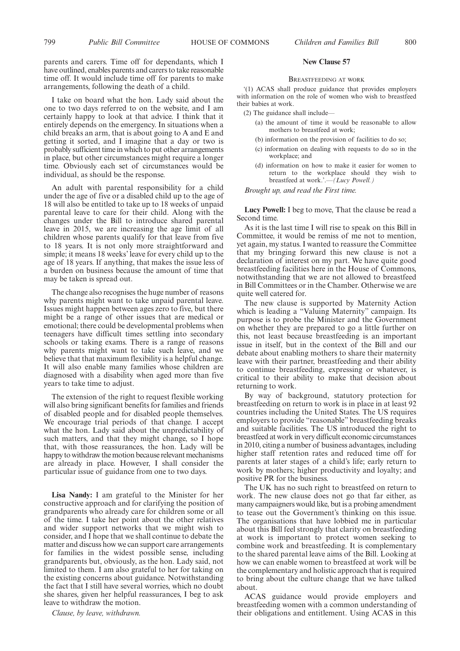parents and carers. Time off for dependants, which I have outlined, enables parents and carers to take reasonable time off. It would include time off for parents to make arrangements, following the death of a child.

I take on board what the hon. Lady said about the one to two days referred to on the website, and I am certainly happy to look at that advice. I think that it entirely depends on the emergency. In situations when a child breaks an arm, that is about going to A and E and getting it sorted, and I imagine that a day or two is probably sufficient time in which to put other arrangements in place, but other circumstances might require a longer time. Obviously each set of circumstances would be individual, as should be the response.

An adult with parental responsibility for a child under the age of five or a disabled child up to the age of 18 will also be entitled to take up to 18 weeks of unpaid parental leave to care for their child. Along with the changes under the Bill to introduce shared parental leave in 2015, we are increasing the age limit of all children whose parents qualify for that leave from five to 18 years. It is not only more straightforward and simple; it means 18 weeks' leave for every child up to the age of 18 years. If anything, that makes the issue less of a burden on business because the amount of time that may be taken is spread out.

The change also recognises the huge number of reasons why parents might want to take unpaid parental leave. Issues might happen between ages zero to five, but there might be a range of other issues that are medical or emotional; there could be developmental problems when teenagers have difficult times settling into secondary schools or taking exams. There is a range of reasons why parents might want to take such leave, and we believe that that maximum flexibility is a helpful change. It will also enable many families whose children are diagnosed with a disability when aged more than five years to take time to adjust.

The extension of the right to request flexible working will also bring significant benefits for families and friends of disabled people and for disabled people themselves. We encourage trial periods of that change. I accept what the hon. Lady said about the unpredictability of such matters, and that they might change, so I hope that, with those reassurances, the hon. Lady will be happy to withdraw the motion because relevant mechanisms are already in place. However, I shall consider the particular issue of guidance from one to two days.

**Lisa Nandy:** I am grateful to the Minister for her constructive approach and for clarifying the position of grandparents who already care for children some or all of the time. I take her point about the other relatives and wider support networks that we might wish to consider, and I hope that we shall continue to debate the matter and discuss how we can support care arrangements for families in the widest possible sense, including grandparents but, obviously, as the hon. Lady said, not limited to them. I am also grateful to her for taking on the existing concerns about guidance. Notwithstanding the fact that I still have several worries, which no doubt she shares, given her helpful reassurances, I beg to ask leave to withdraw the motion.

*Clause, by leave, withdrawn.*

#### **New Clause 57**

#### BREASTFEEDING AT WORK

'(1) ACAS shall produce guidance that provides employers with information on the role of women who wish to breastfeed their babies at work.

 $(2)$  The guidance shall include-

- (a) the amount of time it would be reasonable to allow mothers to breastfeed at work;
- (b) information on the provision of facilities to do so;
- (c) information on dealing with requests to do so in the workplace; and
- (d) information on how to make it easier for women to return to the workplace should they wish to breastfeed at work.'.—*(Lucy Powell.)*

*Brought up, and read the First time.*

**Lucy Powell:** I beg to move, That the clause be read a Second time.

As it is the last time I will rise to speak on this Bill in Committee, it would be remiss of me not to mention, yet again, my status. I wanted to reassure the Committee that my bringing forward this new clause is not a declaration of interest on my part. We have quite good breastfeeding facilities here in the House of Commons, notwithstanding that we are not allowed to breastfeed in Bill Committees or in the Chamber. Otherwise we are quite well catered for.

The new clause is supported by Maternity Action which is leading a "Valuing Maternity" campaign. Its purpose is to probe the Minister and the Government on whether they are prepared to go a little further on this, not least because breastfeeding is an important issue in itself, but in the context of the Bill and our debate about enabling mothers to share their maternity leave with their partner, breastfeeding and their ability to continue breastfeeding, expressing or whatever, is critical to their ability to make that decision about returning to work.

By way of background, statutory protection for breastfeeding on return to work is in place in at least 92 countries including the United States. The US requires employers to provide "reasonable" breastfeeding breaks and suitable facilities. The US introduced the right to breastfeed at work in very difficult economic circumstances in 2010, citing a number of business advantages, including higher staff retention rates and reduced time off for parents at later stages of a child's life; early return to work by mothers; higher productivity and loyalty; and positive PR for the business.

The UK has no such right to breastfeed on return to work. The new clause does not go that far either, as many campaigners would like, but is a probing amendment to tease out the Government's thinking on this issue. The organisations that have lobbied me in particular about this Bill feel strongly that clarity on breastfeeding at work is important to protect women seeking to combine work and breastfeeding. It is complementary to the shared parental leave aims of the Bill. Looking at how we can enable women to breastfeed at work will be the complementary and holistic approach that is required to bring about the culture change that we have talked about.

ACAS guidance would provide employers and breastfeeding women with a common understanding of their obligations and entitlement. Using ACAS in this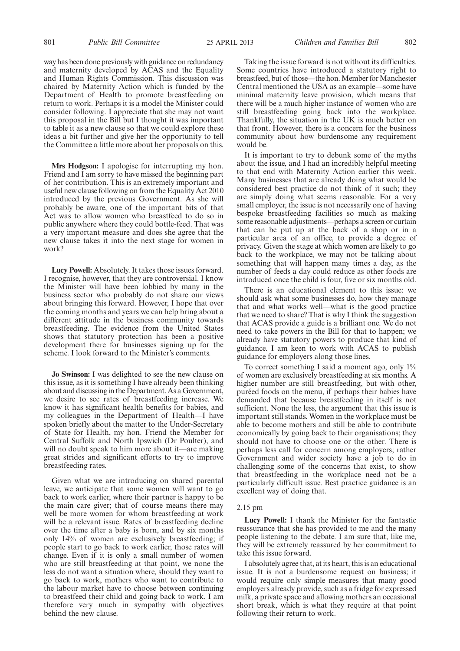way has been done previously with guidance on redundancy and maternity developed by ACAS and the Equality and Human Rights Commission. This discussion was chaired by Maternity Action which is funded by the Department of Health to promote breastfeeding on return to work. Perhaps it is a model the Minister could consider following. I appreciate that she may not want this proposal in the Bill but I thought it was important to table it as a new clause so that we could explore these ideas a bit further and give her the opportunity to tell the Committee a little more about her proposals on this.

**Mrs Hodgson:** I apologise for interrupting my hon. Friend and I am sorry to have missed the beginning part of her contribution. This is an extremely important and useful new clause following on from the Equality Act 2010 introduced by the previous Government. As she will probably be aware, one of the important bits of that Act was to allow women who breastfeed to do so in public anywhere where they could bottle-feed. That was a very important measure and does she agree that the new clause takes it into the next stage for women in work?

**Lucy Powell:** Absolutely. It takes those issues forward. I recognise, however, that they are controversial. I know the Minister will have been lobbied by many in the business sector who probably do not share our views about bringing this forward. However, I hope that over the coming months and years we can help bring about a different attitude in the business community towards breastfeeding. The evidence from the United States shows that statutory protection has been a positive development there for businesses signing up for the scheme. I look forward to the Minister's comments.

**Jo Swinson:** I was delighted to see the new clause on this issue, as it is something I have already been thinking about and discussing in the Department. As a Government, we desire to see rates of breastfeeding increase. We know it has significant health benefits for babies, and my colleagues in the Department of Health—I have spoken briefly about the matter to the Under-Secretary of State for Health, my hon. Friend the Member for Central Suffolk and North Ipswich (Dr Poulter), and will no doubt speak to him more about it—are making great strides and significant efforts to try to improve breastfeeding rates.

Given what we are introducing on shared parental leave, we anticipate that some women will want to go back to work earlier, where their partner is happy to be the main care giver; that of course means there may well be more women for whom breastfeeding at work will be a relevant issue. Rates of breastfeeding decline over the time after a baby is born, and by six months only 14% of women are exclusively breastfeeding; if people start to go back to work earlier, those rates will change. Even if it is only a small number of women who are still breastfeeding at that point, we none the less do not want a situation where, should they want to go back to work, mothers who want to contribute to the labour market have to choose between continuing to breastfeed their child and going back to work. I am therefore very much in sympathy with objectives behind the new clause.

Taking the issue forward is not without its difficulties. Some countries have introduced a statutory right to breastfeed, but of those—the hon. Member for Manchester Central mentioned the USA as an example—some have minimal maternity leave provision, which means that there will be a much higher instance of women who are still breastfeeding going back into the workplace. Thankfully, the situation in the UK is much better on that front. However, there is a concern for the business community about how burdensome any requirement would be.

It is important to try to debunk some of the myths about the issue, and I had an incredibly helpful meeting to that end with Maternity Action earlier this week. Many businesses that are already doing what would be considered best practice do not think of it such; they are simply doing what seems reasonable. For a very small employer, the issue is not necessarily one of having bespoke breastfeeding facilities so much as making some reasonable adjustments—perhaps a screen or curtain that can be put up at the back of a shop or in a particular area of an office, to provide a degree of privacy. Given the stage at which women are likely to go back to the workplace, we may not be talking about something that will happen many times a day, as the number of feeds a day could reduce as other foods are introduced once the child is four, five or six months old.

There is an educational element to this issue: we should ask what some businesses do, how they manage that and what works well—what is the good practice that we need to share? That is why I think the suggestion that ACAS provide a guide is a brilliant one. We do not need to take powers in the Bill for that to happen; we already have statutory powers to produce that kind of guidance. I am keen to work with ACAS to publish guidance for employers along those lines.

To correct something I said a moment ago, only  $1\%$ of women are exclusively breastfeeding at six months. A higher number are still breastfeeding, but with other, puréed foods on the menu, if perhaps their babies have demanded that because breastfeeding in itself is not sufficient. None the less, the argument that this issue is important still stands. Women in the workplace must be able to become mothers and still be able to contribute economically by going back to their organisations; they should not have to choose one or the other. There is perhaps less call for concern among employers; rather Government and wider society have a job to do in challenging some of the concerns that exist, to show that breastfeeding in the workplace need not be a particularly difficult issue. Best practice guidance is an excellent way of doing that.

#### 2.15 pm

**Lucy Powell:** I thank the Minister for the fantastic reassurance that she has provided to me and the many people listening to the debate. I am sure that, like me, they will be extremely reassured by her commitment to take this issue forward.

I absolutely agree that, at its heart, this is an educational issue. It is not a burdensome request on business; it would require only simple measures that many good employers already provide, such as a fridge for expressed milk, a private space and allowing mothers an occasional short break, which is what they require at that point following their return to work.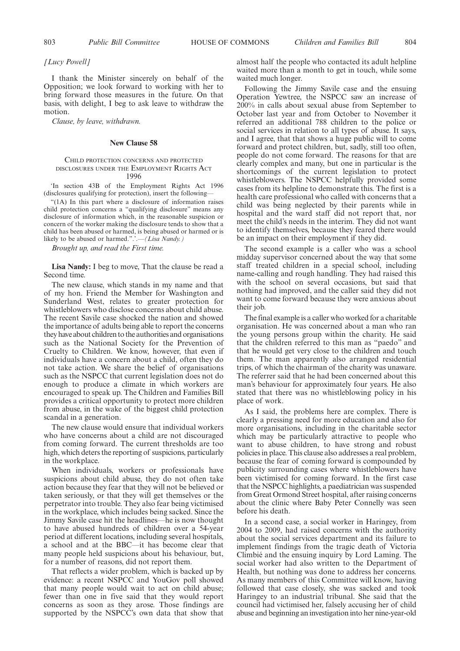*[Lucy Powell]*

I thank the Minister sincerely on behalf of the Opposition; we look forward to working with her to bring forward those measures in the future. On that basis, with delight, I beg to ask leave to withdraw the motion.

*Clause, by leave, withdrawn.*

#### **New Clause 58**

#### CHILD PROTECTION CONCERNS AND PROTECTED DISCLOSURES UNDER THE EMPLOYMENT RIGHTS ACT 1996

'In section 43B of the Employment Rights Act 1996 (disclosures qualifying for protection), insert the following—

"(1A) In this part where a disclosure of information raises child protection concerns a "qualifying disclosure" means any disclosure of information which, in the reasonable suspicion or concern of the worker making the disclosure tends to show that a child has been abused or harmed, is being abused or harmed or is likely to be abused or harmed.".'.—*(Lisa Nandy.)*

*Brought up, and read the First time.*

**Lisa Nandy:** I beg to move, That the clause be read a Second time.

The new clause, which stands in my name and that of my hon. Friend the Member for Washington and Sunderland West, relates to greater protection for whistleblowers who disclose concerns about child abuse. The recent Savile case shocked the nation and showed the importance of adults being able to report the concerns they have about children to the authorities and organisations such as the National Society for the Prevention of Cruelty to Children. We know, however, that even if individuals have a concern about a child, often they do not take action. We share the belief of organisations such as the NSPCC that current legislation does not do enough to produce a climate in which workers are encouraged to speak up. The Children and Families Bill provides a critical opportunity to protect more children from abuse, in the wake of the biggest child protection scandal in a generation.

The new clause would ensure that individual workers who have concerns about a child are not discouraged from coming forward. The current thresholds are too high, which deters the reporting of suspicions, particularly in the workplace.

When individuals, workers or professionals have suspicions about child abuse, they do not often take action because they fear that they will not be believed or taken seriously, or that they will get themselves or the perpetrator into trouble. They also fear being victimised in the workplace, which includes being sacked. Since the Jimmy Savile case hit the headlines—he is now thought to have abused hundreds of children over a 54-year period at different locations, including several hospitals, a school and at the BBC—it has become clear that many people held suspicions about his behaviour, but, for a number of reasons, did not report them.

That reflects a wider problem, which is backed up by evidence: a recent NSPCC and YouGov poll showed that many people would wait to act on child abuse; fewer than one in five said that they would report concerns as soon as they arose. Those findings are supported by the NSPCC's own data that show that almost half the people who contacted its adult helpline waited more than a month to get in touch, while some waited much longer.

Following the Jimmy Savile case and the ensuing Operation Yewtree, the NSPCC saw an increase of 200% in calls about sexual abuse from September to October last year and from October to November it referred an additional 788 children to the police or social services in relation to all types of abuse. It says, and I agree, that that shows a huge public will to come forward and protect children, but, sadly, still too often, people do not come forward. The reasons for that are clearly complex and many, but one in particular is the shortcomings of the current legislation to protect whistleblowers. The NSPCC helpfully provided some cases from its helpline to demonstrate this. The first is a health care professional who called with concerns that a child was being neglected by their parents while in hospital and the ward staff did not report that, nor meet the child's needs in the interim. They did not want to identify themselves, because they feared there would be an impact on their employment if they did.

The second example is a caller who was a school midday supervisor concerned about the way that some staff treated children in a special school, including name-calling and rough handling. They had raised this with the school on several occasions, but said that nothing had improved, and the caller said they did not want to come forward because they were anxious about their job.

The final example is a caller who worked for a charitable organisation. He was concerned about a man who ran the young persons group within the charity. He said that the children referred to this man as "paedo" and that he would get very close to the children and touch them. The man apparently also arranged residential trips, of which the chairman of the charity was unaware. The referrer said that he had been concerned about this man's behaviour for approximately four years. He also stated that there was no whistleblowing policy in his place of work.

As I said, the problems here are complex. There is clearly a pressing need for more education and also for more organisations, including in the charitable sector which may be particularly attractive to people who want to abuse children, to have strong and robust policies in place. This clause also addresses a real problem, because the fear of coming forward is compounded by publicity surrounding cases where whistleblowers have been victimised for coming forward. In the first case that the NSPCC highlights, a paediatrician was suspended from Great Ormond Street hospital, after raising concerns about the clinic where Baby Peter Connelly was seen before his death.

In a second case, a social worker in Haringey, from 2004 to 2009, had raised concerns with the authority about the social services department and its failure to implement findings from the tragic death of Victoria Climbié and the ensuing inquiry by Lord Laming. The social worker had also written to the Department of Health, but nothing was done to address her concerns. As many members of this Committee will know, having followed that case closely, she was sacked and took Haringey to an industrial tribunal. She said that the council had victimised her, falsely accusing her of child abuse and beginning an investigation into her nine-year-old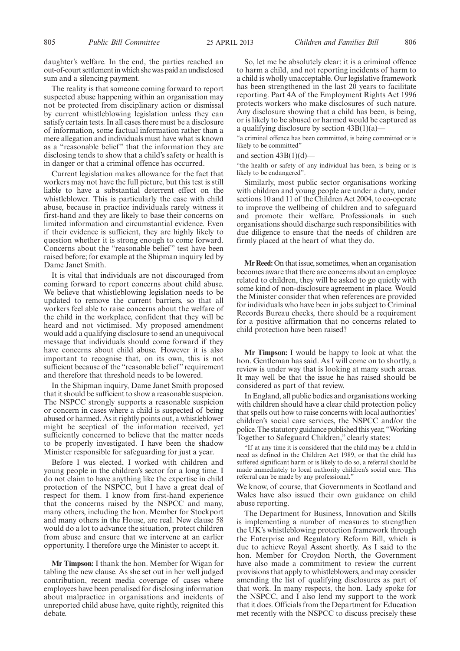daughter's welfare. In the end, the parties reached an out-of-court settlementin which she was paid an undisclosed sum and a silencing payment.

The reality is that someone coming forward to report suspected abuse happening within an organisation may not be protected from disciplinary action or dismissal by current whistleblowing legislation unless they can satisfy certain tests. In all cases there must be a disclosure of information, some factual information rather than a mere allegation and individuals must have what is known as a "reasonable belief" that the information they are disclosing tends to show that a child's safety or health is in danger or that a criminal offence has occurred.

Current legislation makes allowance for the fact that workers may not have the full picture, but this test is still liable to have a substantial deterrent effect on the whistleblower. This is particularly the case with child abuse, because in practice individuals rarely witness it first-hand and they are likely to base their concerns on limited information and circumstantial evidence. Even if their evidence is sufficient, they are highly likely to question whether it is strong enough to come forward. Concerns about the "reasonable belief" test have been raised before; for example at the Shipman inquiry led by Dame Janet Smith.

It is vital that individuals are not discouraged from coming forward to report concerns about child abuse. We believe that whistleblowing legislation needs to be updated to remove the current barriers, so that all workers feel able to raise concerns about the welfare of the child in the workplace, confident that they will be heard and not victimised. My proposed amendment would add a qualifying disclosure to send an unequivocal message that individuals should come forward if they have concerns about child abuse. However it is also important to recognise that, on its own, this is not sufficient because of the "reasonable belief" requirement and therefore that threshold needs to be lowered.

In the Shipman inquiry, Dame Janet Smith proposed that it should be sufficient to show a reasonable suspicion. The NSPCC strongly supports a reasonable suspicion or concern in cases where a child is suspected of being abused or harmed. As it rightly points out, a whistleblower might be sceptical of the information received, yet sufficiently concerned to believe that the matter needs to be properly investigated. I have been the shadow Minister responsible for safeguarding for just a year.

Before I was elected, I worked with children and young people in the children's sector for a long time. I do not claim to have anything like the expertise in child protection of the NSPCC, but I have a great deal of respect for them. I know from first-hand experience that the concerns raised by the NSPCC and many, many others, including the hon. Member for Stockport and many others in the House, are real. New clause 58 would do a lot to advance the situation, protect children from abuse and ensure that we intervene at an earlier opportunity. I therefore urge the Minister to accept it.

**Mr Timpson:** I thank the hon. Member for Wigan for tabling the new clause. As she set out in her well judged contribution, recent media coverage of cases where employees have been penalised for disclosing information about malpractice in organisations and incidents of unreported child abuse have, quite rightly, reignited this debate.

So, let me be absolutely clear: it is a criminal offence to harm a child, and not reporting incidents of harm to a child is wholly unacceptable. Our legislative framework has been strengthened in the last 20 years to facilitate reporting. Part 4A of the Employment Rights Act 1996 protects workers who make disclosures of such nature. Any disclosure showing that a child has been, is being, or is likely to be abused or harmed would be captured as a qualifying disclosure by section  $43B(1)(a)$ 

"a criminal offence has been committed, is being committed or is likely to be committed"

#### and section  $43B(1)(d)$ —

"the health or safety of any individual has been, is being or is likely to be endangered".

Similarly, most public sector organisations working with children and young people are under a duty, under sections 10 and 11 of the Children Act 2004, to co-operate to improve the wellbeing of children and to safeguard and promote their welfare. Professionals in such organisations should discharge such responsibilities with due diligence to ensure that the needs of children are firmly placed at the heart of what they do.

**Mr Reed:**On that issue, sometimes, when an organisation becomes aware that there are concerns about an employee related to children, they will be asked to go quietly with some kind of non-disclosure agreement in place. Would the Minister consider that when references are provided for individuals who have been in jobs subject to Criminal Records Bureau checks, there should be a requirement for a positive affirmation that no concerns related to child protection have been raised?

**Mr Timpson:** I would be happy to look at what the hon. Gentleman has said. As I will come on to shortly, a review is under way that is looking at many such areas. It may well be that the issue he has raised should be considered as part of that review.

In England, all public bodies and organisations working with children should have a clear child protection policy that spells out how to raise concerns with local authorities' children's social care services, the NSPCC and/or the police. The statutory guidance published this year, "Working Together to Safeguard Children," clearly states:

"If at any time it is considered that the child may be a child in need as defined in the Children Act 1989, or that the child has suffered significant harm or is likely to do so, a referral should be made immediately to local authority children's social care. This referral can be made by any professional."

We know, of course, that Governments in Scotland and Wales have also issued their own guidance on child abuse reporting.

The Department for Business, Innovation and Skills is implementing a number of measures to strengthen the UK's whistleblowing protection framework through the Enterprise and Regulatory Reform Bill, which is due to achieve Royal Assent shortly. As I said to the hon. Member for Croydon North, the Government have also made a commitment to review the current provisions that apply to whistleblowers, and may consider amending the list of qualifying disclosures as part of that work. In many respects, the hon. Lady spoke for the NSPCC, and I also lend my support to the work that it does. Officials from the Department for Education met recently with the NSPCC to discuss precisely these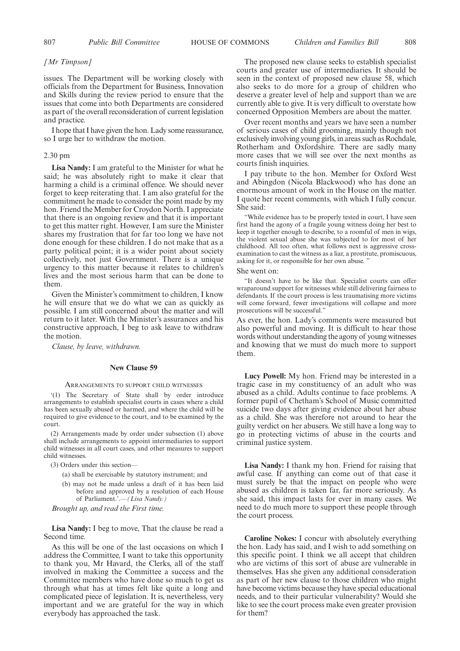#### *[Mr Timpson]*

issues. The Department will be working closely with officials from the Department for Business, Innovation and Skills during the review period to ensure that the issues that come into both Departments are considered as part of the overall reconsideration of current legislation and practice.

I hope that I have given the hon. Lady some reassurance, so I urge her to withdraw the motion.

#### 2.30 pm

**Lisa Nandy:** I am grateful to the Minister for what he said; he was absolutely right to make it clear that harming a child is a criminal offence. We should never forget to keep reiterating that. I am also grateful for the commitment he made to consider the point made by my hon. Friend the Member for Croydon North. I appreciate that there is an ongoing review and that it is important to get this matter right. However, I am sure the Minister shares my frustration that for far too long we have not done enough for these children. I do not make that as a party political point; it is a wider point about society collectively, not just Government. There is a unique urgency to this matter because it relates to children's lives and the most serious harm that can be done to them.

Given the Minister's commitment to children, I know he will ensure that we do what we can as quickly as possible. I am still concerned about the matter and will return to it later. With the Minister's assurances and his constructive approach, I beg to ask leave to withdraw the motion.

*Clause, by leave, withdrawn.*

#### **New Clause 59**

#### ARRANGEMENTS TO SUPPORT CHILD WITNESSES

'(1) The Secretary of State shall by order introduce arrangements to establish specialist courts in cases where a child has been sexually abused or harmed, and where the child will be required to give evidence to the court, and to be examined by the court.

(2) Arrangements made by order under subsection (1) above shall include arrangements to appoint intermediaries to support child witnesses in all court cases, and other measures to support child witnesses.

(3) Orders under this section—

- (a) shall be exercisable by statutory instrument; and
- (b) may not be made unless a draft of it has been laid before and approved by a resolution of each House of Parliament.'.—*(Lisa Nandy.)*

*Brought up, and read the First time.*

**Lisa Nandy:** I beg to move, That the clause be read a Second time.

As this will be one of the last occasions on which I address the Committee, I want to take this opportunity to thank you, Mr Havard, the Clerks, all of the staff involved in making the Committee a success and the Committee members who have done so much to get us through what has at times felt like quite a long and complicated piece of legislation. It is, nevertheless, very important and we are grateful for the way in which everybody has approached the task.

The proposed new clause seeks to establish specialist courts and greater use of intermediaries. It should be seen in the context of proposed new clause 58, which also seeks to do more for a group of children who deserve a greater level of help and support than we are currently able to give. It is very difficult to overstate how concerned Opposition Members are about the matter.

Over recent months and years we have seen a number of serious cases of child grooming, mainly though not exclusively involving young girls, in areas such as Rochdale, Rotherham and Oxfordshire. There are sadly many more cases that we will see over the next months as courts finish inquiries.

I pay tribute to the hon. Member for Oxford West and Abingdon (Nicola Blackwood) who has done an enormous amount of work in the House on the matter. I quote her recent comments, with which I fully concur. She said:

"While evidence has to be properly tested in court, I have seen first hand the agony of a fragile young witness doing her best to keep it together enough to describe, to a roomful of men in wigs, the violent sexual abuse she was subjected to for most of her childhood. All too often, what follows next is aggressive crossexamination to cast the witness as a liar, a prostitute, promiscuous, asking for it, or responsible for her own abuse. "

#### She went on:

"It doesn't have to be like that. Specialist courts can offer wraparound support for witnesses while still delivering fairness to defendants. If the court process is less traumatising more victims will come forward, fewer investigations will collapse and more prosecutions will be successful."

As ever, the hon. Lady's comments were measured but also powerful and moving. It is difficult to hear those words without understanding the agony of young witnesses and knowing that we must do much more to support them.

**Lucy Powell:** My hon. Friend may be interested in a tragic case in my constituency of an adult who was abused as a child. Adults continue to face problems. A former pupil of Chetham's School of Music committed suicide two days after giving evidence about her abuse as a child. She was therefore not around to hear the guilty verdict on her abusers. We still have a long way to go in protecting victims of abuse in the courts and criminal justice system.

**Lisa Nandy:** I thank my hon. Friend for raising that awful case. If anything can come out of that case it must surely be that the impact on people who were abused as children is taken far, far more seriously. As she said, this impact lasts for ever in many cases. We need to do much more to support these people through the court process.

**Caroline Nokes:** I concur with absolutely everything the hon. Lady has said, and I wish to add something on this specific point. I think we all accept that children who are victims of this sort of abuse are vulnerable in themselves. Has she given any additional consideration as part of her new clause to those children who might have become victims because they have special educational needs, and to their particular vulnerability? Would she like to see the court process make even greater provision for them?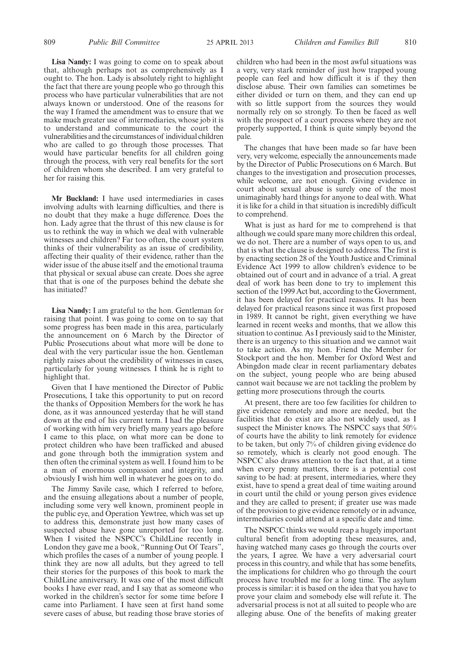**Lisa Nandy:** I was going to come on to speak about that, although perhaps not as comprehensively as I ought to. The hon. Lady is absolutely right to highlight the fact that there are young people who go through this process who have particular vulnerabilities that are not always known or understood. One of the reasons for the way I framed the amendment was to ensure that we make much greater use of intermediaries, whose job it is to understand and communicate to the court the vulnerabilities and the circumstances of individual children who are called to go through those processes. That would have particular benefits for all children going through the process, with very real benefits for the sort of children whom she described. I am very grateful to her for raising this.

**Mr Buckland:** I have used intermediaries in cases involving adults with learning difficulties, and there is no doubt that they make a huge difference. Does the hon. Lady agree that the thrust of this new clause is for us to rethink the way in which we deal with vulnerable witnesses and children? Far too often, the court system thinks of their vulnerability as an issue of credibility, affecting their quality of their evidence, rather than the wider issue of the abuse itself and the emotional trauma that physical or sexual abuse can create. Does she agree that that is one of the purposes behind the debate she has initiated?

**Lisa Nandy:** I am grateful to the hon. Gentleman for raising that point. I was going to come on to say that some progress has been made in this area, particularly the announcement on 6 March by the Director of Public Prosecutions about what more will be done to deal with the very particular issue the hon. Gentleman rightly raises about the credibility of witnesses in cases, particularly for young witnesses. I think he is right to highlight that.

Given that I have mentioned the Director of Public Prosecutions, I take this opportunity to put on record the thanks of Opposition Members for the work he has done, as it was announced yesterday that he will stand down at the end of his current term. I had the pleasure of working with him very briefly many years ago before I came to this place, on what more can be done to protect children who have been trafficked and abused and gone through both the immigration system and then often the criminal system as well. I found him to be a man of enormous compassion and integrity, and obviously I wish him well in whatever he goes on to do.

The Jimmy Savile case, which I referred to before, and the ensuing allegations about a number of people, including some very well known, prominent people in the public eye, and Operation Yewtree, which was set up to address this, demonstrate just how many cases of suspected abuse have gone unreported for too long. When I visited the NSPCC's ChildLine recently in London they gave me a book, "Running Out Of Tears" which profiles the cases of a number of young people. I think they are now all adults, but they agreed to tell their stories for the purposes of this book to mark the ChildLine anniversary. It was one of the most difficult books I have ever read, and I say that as someone who worked in the children's sector for some time before I came into Parliament. I have seen at first hand some severe cases of abuse, but reading those brave stories of children who had been in the most awful situations was a very, very stark reminder of just how trapped young people can feel and how difficult it is if they then disclose abuse. Their own families can sometimes be either divided or turn on them, and they can end up with so little support from the sources they would normally rely on so strongly. To then be faced as well with the prospect of a court process where they are not properly supported, I think is quite simply beyond the pale.

The changes that have been made so far have been very, very welcome, especially the announcements made by the Director of Public Prosecutions on 6 March. But changes to the investigation and prosecution processes, while welcome, are not enough. Giving evidence in court about sexual abuse is surely one of the most unimaginably hard things for anyone to deal with. What it is like for a child in that situation is incredibly difficult to comprehend.

What is just as hard for me to comprehend is that although we could spare many more children this ordeal, we do not. There are a number of ways open to us, and that is what the clause is designed to address. The first is by enacting section 28 of the Youth Justice and Criminal Evidence Act 1999 to allow children's evidence to be obtained out of court and in advance of a trial. A great deal of work has been done to try to implement this section of the 1999 Act but, according to the Government, it has been delayed for practical reasons. It has been delayed for practical reasons since it was first proposed in 1989. It cannot be right, given everything we have learned in recent weeks and months, that we allow this situation to continue. As I previously said to the Minister, there is an urgency to this situation and we cannot wait to take action. As my hon. Friend the Member for Stockport and the hon. Member for Oxford West and Abingdon made clear in recent parliamentary debates on the subject, young people who are being abused cannot wait because we are not tackling the problem by getting more prosecutions through the courts.

At present, there are too few facilities for children to give evidence remotely and more are needed, but the facilities that do exist are also not widely used, as I suspect the Minister knows. The NSPCC says that 50% of courts have the ability to link remotely for evidence to be taken, but only 7% of children giving evidence do so remotely, which is clearly not good enough. The NSPCC also draws attention to the fact that, at a time when every penny matters, there is a potential cost saving to be had: at present, intermediaries, where they exist, have to spend a great deal of time waiting around in court until the child or young person gives evidence and they are called to present; if greater use was made of the provision to give evidence remotely or in advance, intermediaries could attend at a specific date and time.

The NSPCC thinks we would reap a hugely important cultural benefit from adopting these measures, and, having watched many cases go through the courts over the years, I agree. We have a very adversarial court process in this country, and while that has some benefits, the implications for children who go through the court process have troubled me for a long time. The asylum process is similar: it is based on the idea that you have to prove your claim and somebody else will refute it. The adversarial process is not at all suited to people who are alleging abuse. One of the benefits of making greater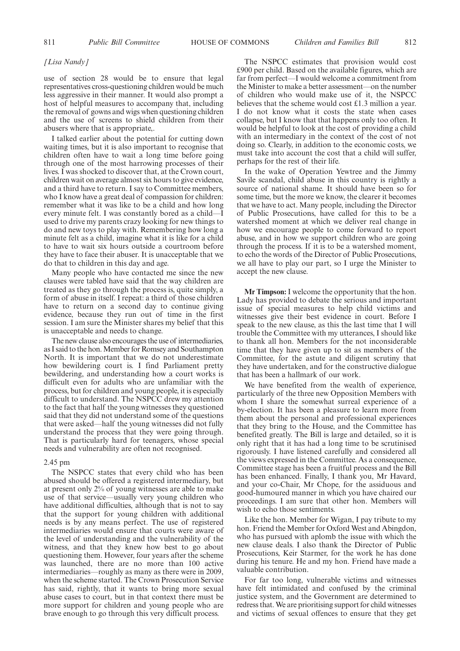#### *[Lisa Nandy]*

use of section 28 would be to ensure that legal representatives cross-questioning children would be much less aggressive in their manner. It would also prompt a host of helpful measures to accompany that, including the removal of gowns and wigs when questioning children and the use of screens to shield children from their abusers where that is appropriate,.

I talked earlier about the potential for cutting down waiting times, but it is also important to recognise that children often have to wait a long time before going through one of the most harrowing processes of their lives. I was shocked to discover that, at the Crown court, children wait on average almost six hours to give evidence, and a third have to return. I say to Committee members, who I know have a great deal of compassion for children: remember what it was like to be a child and how long every minute felt. I was constantly bored as a child—I used to drive my parents crazy looking for new things to do and new toys to play with. Remembering how long a minute felt as a child, imagine what it is like for a child to have to wait six hours outside a courtroom before they have to face their abuser. It is unacceptable that we do that to children in this day and age.

Many people who have contacted me since the new clauses were tabled have said that the way children are treated as they go through the process is, quite simply, a form of abuse in itself. I repeat: a third of those children have to return on a second day to continue giving evidence, because they run out of time in the first session. I am sure the Minister shares my belief that this is unacceptable and needs to change.

The new clause also encourages the use of intermediaries, as I said to the hon.Member for Romsey and Southampton North. It is important that we do not underestimate how bewildering court is. I find Parliament pretty bewildering, and understanding how a court works is difficult even for adults who are unfamiliar with the process, but for children and young people, it is especially difficult to understand. The NSPCC drew my attention to the fact that half the young witnesses they questioned said that they did not understand some of the questions that were asked—half the young witnesses did not fully understand the process that they were going through. That is particularly hard for teenagers, whose special needs and vulnerability are often not recognised.

#### 2.45 pm

The NSPCC states that every child who has been abused should be offered a registered intermediary, but at present only 2% of young witnesses are able to make use of that service—usually very young children who have additional difficulties, although that is not to say that the support for young children with additional needs is by any means perfect. The use of registered intermediaries would ensure that courts were aware of the level of understanding and the vulnerability of the witness, and that they knew how best to go about questioning them. However, four years after the scheme was launched, there are no more than 100 active intermediaries—roughly as many as there were in 2009, when the scheme started. The Crown Prosecution Service has said, rightly, that it wants to bring more sexual abuse cases to court, but in that context there must be more support for children and young people who are brave enough to go through this very difficult process.

The NSPCC estimates that provision would cost £900 per child. Based on the available figures, which are far from perfect—I would welcome a commitment from the Minister to make a better assessment—on the number of children who would make use of it, the NSPCC believes that the scheme would cost £1.3 million a year. I do not know what it costs the state when cases collapse, but I know that that happens only too often. It would be helpful to look at the cost of providing a child with an intermediary in the context of the cost of not doing so. Clearly, in addition to the economic costs, we must take into account the cost that a child will suffer, perhaps for the rest of their life.

In the wake of Operation Yewtree and the Jimmy Savile scandal, child abuse in this country is rightly a source of national shame. It should have been so for some time, but the more we know, the clearer it becomes that we have to act. Many people, including the Director of Public Prosecutions, have called for this to be a watershed moment at which we deliver real change in how we encourage people to come forward to report abuse, and in how we support children who are going through the process. If it is to be a watershed moment, to echo the words of the Director of Public Prosecutions, we all have to play our part, so I urge the Minister to accept the new clause.

**Mr Timpson:** I welcome the opportunity that the hon. Lady has provided to debate the serious and important issue of special measures to help child victims and witnesses give their best evidence in court. Before I speak to the new clause, as this the last time that I will trouble the Committee with my utterances, I should like to thank all hon. Members for the not inconsiderable time that they have given up to sit as members of the Committee, for the astute and diligent scrutiny that they have undertaken, and for the constructive dialogue that has been a hallmark of our work.

We have benefited from the wealth of experience, particularly of the three new Opposition Members with whom I share the somewhat surreal experience of a by-election. It has been a pleasure to learn more from them about the personal and professional experiences that they bring to the House, and the Committee has benefited greatly. The Bill is large and detailed, so it is only right that it has had a long time to be scrutinised rigorously. I have listened carefully and considered all the views expressed in the Committee. As a consequence, Committee stage has been a fruitful process and the Bill has been enhanced. Finally, I thank you, Mr Havard, and your co-Chair, Mr Chope, for the assiduous and good-humoured manner in which you have chaired our proceedings. I am sure that other hon. Members will wish to echo those sentiments.

Like the hon. Member for Wigan, I pay tribute to my hon. Friend the Member for Oxford West and Abingdon, who has pursued with aplomb the issue with which the new clause deals. I also thank the Director of Public Prosecutions, Keir Starmer, for the work he has done during his tenure. He and my hon. Friend have made a valuable contribution.

For far too long, vulnerable victims and witnesses have felt intimidated and confused by the criminal justice system, and the Government are determined to redress that.We are prioritising support for child witnesses and victims of sexual offences to ensure that they get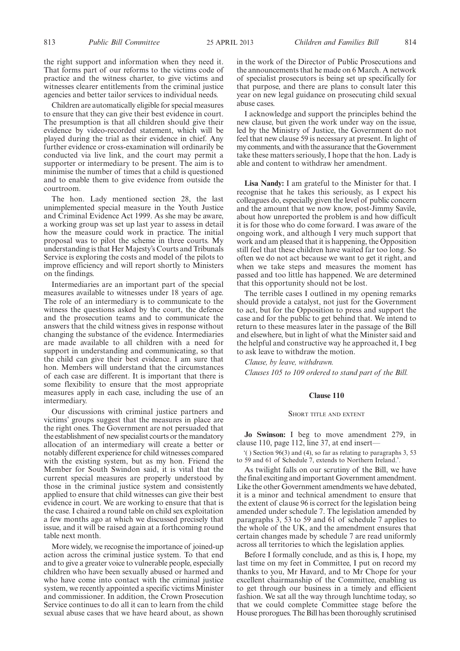Children are automatically eligible for special measures to ensure that they can give their best evidence in court. The presumption is that all children should give their evidence by video-recorded statement, which will be played during the trial as their evidence in chief. Any further evidence or cross-examination will ordinarily be conducted via live link, and the court may permit a supporter or intermediary to be present. The aim is to minimise the number of times that a child is questioned and to enable them to give evidence from outside the courtroom.

The hon. Lady mentioned section 28, the last unimplemented special measure in the Youth Justice and Criminal Evidence Act 1999. As she may be aware, a working group was set up last year to assess in detail how the measure could work in practice. The initial proposal was to pilot the scheme in three courts. My understanding is that Her Majesty's Courts and Tribunals Service is exploring the costs and model of the pilots to improve efficiency and will report shortly to Ministers on the findings.

Intermediaries are an important part of the special measures available to witnesses under 18 years of age. The role of an intermediary is to communicate to the witness the questions asked by the court, the defence and the prosecution teams and to communicate the answers that the child witness gives in response without changing the substance of the evidence. Intermediaries are made available to all children with a need for support in understanding and communicating, so that the child can give their best evidence. I am sure that hon. Members will understand that the circumstances of each case are different. It is important that there is some flexibility to ensure that the most appropriate measures apply in each case, including the use of an intermediary.

Our discussions with criminal justice partners and victims' groups suggest that the measures in place are the right ones. The Government are not persuaded that the establishment of new specialist courts or the mandatory allocation of an intermediary will create a better or notably different experience for child witnesses compared with the existing system, but as my hon. Friend the Member for South Swindon said, it is vital that the current special measures are properly understood by those in the criminal justice system and consistently applied to ensure that child witnesses can give their best evidence in court. We are working to ensure that that is the case. I chaired a round table on child sex exploitation a few months ago at which we discussed precisely that issue, and it will be raised again at a forthcoming round table next month.

More widely, we recognise the importance of joined-up action across the criminal justice system. To that end and to give a greater voice to vulnerable people, especially children who have been sexually abused or harmed and who have come into contact with the criminal justice system, we recently appointed a specific victims Minister and commissioner. In addition, the Crown Prosecution Service continues to do all it can to learn from the child sexual abuse cases that we have heard about, as shown in the work of the Director of Public Prosecutions and the announcements that he made on 6 March. A network of specialist prosecutors is being set up specifically for that purpose, and there are plans to consult later this year on new legal guidance on prosecuting child sexual abuse cases.

I acknowledge and support the principles behind the new clause, but given the work under way on the issue, led by the Ministry of Justice, the Government do not feel that new clause 59 is necessary at present. In light of my comments, and with the assurance that the Government take these matters seriously, I hope that the hon. Lady is able and content to withdraw her amendment.

**Lisa Nandy:** I am grateful to the Minister for that. I recognise that he takes this seriously, as I expect his colleagues do, especially given the level of public concern and the amount that we now know, post-Jimmy Savile, about how unreported the problem is and how difficult it is for those who do come forward. I was aware of the ongoing work, and although I very much support that work and am pleased that it is happening, the Opposition still feel that these children have waited far too long. So often we do not act because we want to get it right, and when we take steps and measures the moment has passed and too little has happened. We are determined that this opportunity should not be lost.

The terrible cases I outlined in my opening remarks should provide a catalyst, not just for the Government to act, but for the Opposition to press and support the case and for the public to get behind that. We intend to return to these measures later in the passage of the Bill and elsewhere, but in light of what the Minister said and the helpful and constructive way he approached it, I beg to ask leave to withdraw the motion.

*Clause, by leave, withdrawn. Clauses 105 to 109 ordered to stand part of the Bill.*

#### **Clause 110**

#### SHORT TITLE AND EXTENT

**Jo Swinson:** I beg to move amendment 279, in clause 110, page 112, line 37, at end insert-

'( ) Section 96(3) and (4), so far as relating to paragraphs 3, 53 to 59 and 61 of Schedule 7, extends to Northern Ireland.'.

As twilight falls on our scrutiny of the Bill, we have the final exciting and important Government amendment. Like the other Government amendments we have debated, it is a minor and technical amendment to ensure that the extent of clause 96 is correct for the legislation being amended under schedule 7. The legislation amended by paragraphs 3, 53 to 59 and 61 of schedule 7 applies to the whole of the UK, and the amendment ensures that certain changes made by schedule 7 are read uniformly across all territories to which the legislation applies.

Before I formally conclude, and as this is, I hope, my last time on my feet in Committee, I put on record my thanks to you, Mr Havard, and to Mr Chope for your excellent chairmanship of the Committee, enabling us to get through our business in a timely and efficient fashion. We sat all the way through lunchtime today, so that we could complete Committee stage before the House prorogues. The Bill has been thoroughly scrutinised